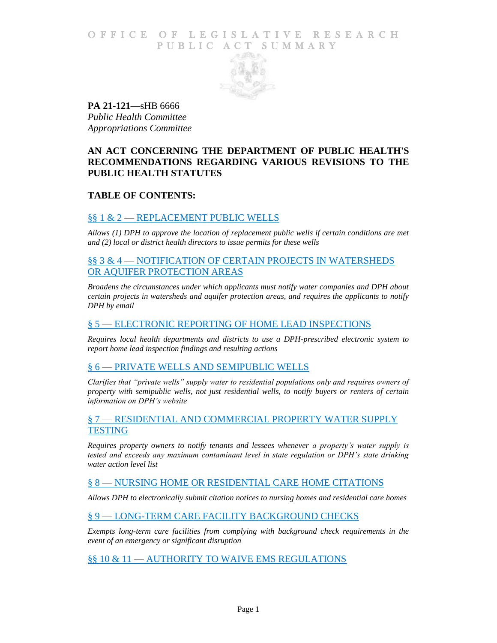# O F FICE OF LEGISLATIVE RESEARCH PUBLIC ACT SUMMARY



**PA 21-121**—sHB 6666 *Public Health Committee Appropriations Committee*

# **AN ACT CONCERNING THE DEPARTMENT OF PUBLIC HEALTH'S RECOMMENDATIONS REGARDING VARIOUS REVISIONS TO THE PUBLIC HEALTH STATUTES**

# **TABLE OF CONTENTS:**

## §§ 1 & 2 — [REPLACEMENT PUBLIC WELLS](#page-6-0)

*Allows (1) DPH to approve the location of [replacement public wells if certain conditions are met](#page-6-1)  [and \(2\) local or district health directors to issue permits for these wells](#page-6-1)*

# §§ 3 & 4 — [NOTIFICATION OF CERTAIN PROJECTS IN WATERSHEDS](#page-6-2)  [OR AQUIFER PROTECTION AREAS](#page-6-2)

*[Broadens the circumstances under which applicants must notify water companies and DPH about](#page-6-3)  [certain projects in watersheds and aquifer protection areas, and requires the applicants to notify](#page-6-3)  [DPH by email](#page-6-3)*

## § 5 — ELECTRONIC REPORTING [OF HOME LEAD INSPECTIONS](#page-7-0)

*[Requires local health departments and districts to use a DPH-prescribed electronic system to](#page-7-1)  [report home lead inspection findings and resulting actions](#page-7-1)*

## § 6 — [PRIVATE WELLS AND SEMIPUBLIC WELLS](#page-7-2)

*[Clarifies that "private wells" supply water to residential populations only and requires owners of](#page-7-3)  [property with semipublic wells, not just residential wells, to](#page-7-3) notify buyers or renters of certain [information on DPH's website](#page-7-3)*

#### § 7 — [RESIDENTIAL AND COMMERCIAL PROPERTY WATER SUPPLY](#page-8-0)  **[TESTING](#page-8-0)**

*[Requires property owners to notify tenants and lessees whenever](#page-8-1) a property's water supply is [tested and exceeds any maximum contaminant level in state regulation or DPH's state drinking](#page-8-1)  [water action level list](#page-8-1)*

## § 8 — [NURSING HOME OR RESIDENTIAL CARE HOME CITATIONS](#page-8-2)

*[Allows DPH to electronically submit citation notices to nursing homes and residential care homes](#page-8-3)*

# § 9 — [LONG-TERM CARE FACILITY BACKGROUND CHECKS](#page-8-4)

*Exempts long-term care facilities from [complying with background check requirements in the](#page-8-5)  [event of an emergency or significant disruption](#page-8-5)*

# §§ 10 & 11 — [AUTHORITY TO WAIVE EMS REGULATIONS](#page-9-0)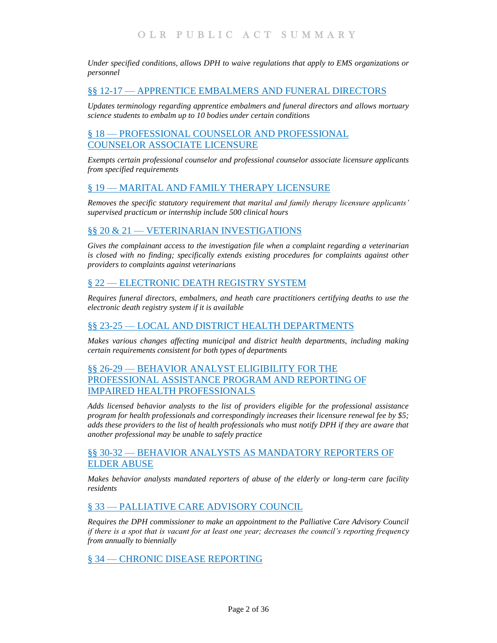*[Under specified conditions, allows DPH to waive regulations that apply to EMS organizations or](#page-9-1)  [personnel](#page-9-1)*

# §§ 12-17 — APPRENTICE EMBALMERS [AND FUNERAL DIRECTORS](#page-9-2)

*[Updates terminology regarding apprentice embalmers and funeral directors and](#page-9-3) allows mortuary [science students to embalm up to 10 bodies under certain conditions](#page-9-3)*

# § 18 — [PROFESSIONAL COUNSELOR AND PROFESSIONAL](#page-9-4)  [COUNSELOR ASSOCIATE LICENSURE](#page-9-4)

*[Exempts certain professional counselor and professional counselor associate licensure applicants](#page-9-5)  [from specified requirements](#page-9-5)*

## § 19 — [MARITAL AND FAMILY THERAPY LICENSURE](#page-10-0)

*[Removes the specific statutory requirement that marital and family therapy licensure applicants'](#page-10-1)  [supervised practicum or internship include 500 clinical hours](#page-10-1)*

# §§ 20 & 21 — [VETERINARIAN INVESTIGATIONS](#page-10-2)

*[Gives the complainant access to the investigation file when a complaint regarding a veterinarian](#page-11-0)  [is closed with no finding; specifically extends existing procedures for complaints against other](#page-11-0)  [providers to complaints against veterinarians](#page-11-0)*

## § 22 — [ELECTRONIC DEATH REGISTRY SYSTEM](#page-11-1)

*[Requires funeral directors, embalmers, and heath care practitioners certifying deaths to use the](#page-11-2)  [electronic death registry system if it is available](#page-11-2)*

## §§ 23-25 — [LOCAL AND DISTRICT HEALTH DEPARTMENTS](#page-11-3)

*[Makes various changes affecting municipal and district health departments, including making](#page-11-4)  [certain requirements consistent for both types of departments](#page-11-4)*

# §§ 26-29 — [BEHAVIOR ANALYST ELIGIBILITY FOR THE](#page-12-0)  [PROFESSIONAL ASSISTANCE PROGRAM AND REPORTING OF](#page-12-0)  [IMPAIRED HEALTH PROFESSIONALS](#page-12-0)

*[Adds licensed behavior analysts to the list of providers eligible for the professional assistance](#page-12-1)  [program for health professionals and correspondingly increases their licensure renewal fee by \\$5;](#page-12-1)  [adds these providers to the list of health professionals who must notify DPH if they are aware that](#page-12-1)  [another professional may be unable to safely practice](#page-12-1)*

# §§ 30-32 — BEHAVIOR ANALYSTS AS [MANDATORY REPORTERS OF](#page-13-0)  [ELDER ABUSE](#page-13-0)

*[Makes behavior analysts mandated reporters of abuse of the elderly or long-term care facility](#page-13-1)  [residents](#page-13-1)*

## § 33 — [PALLIATIVE CARE ADVISORY COUNCIL](#page-14-0)

*[Requires the DPH commissioner to make an appointment to the Palliative Care Advisory Council](#page-14-1)  [if there is a spot that is vacant for at least one year; decreases the council's reporting frequency](#page-14-1)  [from annually to biennially](#page-14-1)*

§ 34 — [CHRONIC DISEASE REPORTING](#page-14-2)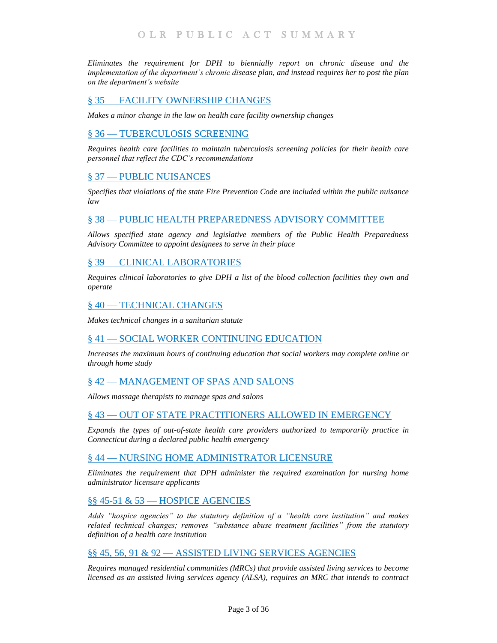*[Eliminates the requirement for DPH to biennially report on chronic disease and the](#page-14-3)  [implementation of the department's chronic disease plan, and instead requires her to post the plan](#page-14-3)  [on the department's website](#page-14-3)*

# § 35 — [FACILITY OWNERSHIP CHANGES](#page-14-4)

*[Makes a minor change in the law on health care facility ownership changes](#page-14-5)*

## § 36 — [TUBERCULOSIS SCREENING](#page-15-0)

*[Requires health care facilities to maintain tuberculosis screening policies for their health care](#page-15-1)  [personnel that reflect the CDC's recommendations](#page-15-1)*

# § 37 — [PUBLIC NUISANCES](#page-15-2)

*[Specifies that violations of the state Fire Prevention Code are included within the public nuisance](#page-15-3)  [law](#page-15-3)*

## § 38 — [PUBLIC HEALTH PREPAREDNESS ADVISORY COMMITTEE](#page-15-4)

*[Allows specified state agency and legislative members of the Public Health Preparedness](#page-15-5)  [Advisory Committee to appoint designees to serve in their place](#page-15-5)*

## § 39 — [CLINICAL LABORATORIES](#page-16-0)

*[Requires clinical laboratories to give DPH a list of the blood collection facilities they own and](#page-16-1)  [operate](#page-16-1)*

#### § 40 — [TECHNICAL CHANGES](#page-16-2)

*[Makes technical changes in a sanitarian statute](#page-16-3)*

## § 41 — [SOCIAL WORKER CONTINUING EDUCATION](#page-16-4)

*[Increases the maximum hours of continuing education that social workers may complete online or](#page-16-5)  [through home study](#page-16-5)*

## § 42 — [MANAGEMENT OF SPAS AND SALONS](#page-16-6)

*[Allows massage therapists to manage spas and salons](#page-16-7)*

## § 43 — [OUT OF STATE PRACTITIONERS ALLOWED IN EMERGENCY](#page-17-0)

*[Expands the types of out-of-state health care providers authorized to temporarily practice in](#page-17-1)  [Connecticut during a declared public health emergency](#page-17-1)*

## § 44 — [NURSING HOME ADMINISTRATOR LICENSURE](#page-17-2)

*[Eliminates the requirement that DPH administer the required examination for nursing home](#page-17-3)  [administrator licensure applicants](#page-17-3)*

## §§ 45-51 & 53 — [HOSPICE AGENCIES](#page-18-0)

*[Adds "hospice agencies" to the statutory definition of a "health care institution" and makes](#page-18-1)  [related technical changes; removes "substance abuse treatment facilities" from the statutory](#page-18-1)  [definition of a health care institution](#page-18-1)*

## §§ 45, 56, 91 & 92 — [ASSISTED LIVING SERVICES AGENCIES](#page-18-2)

*[Requires managed residential communities \(MRCs\) that provide assisted living services to become](#page-18-3)  [licensed as an assisted living services agency \(ALSA\), requires an MRC that intends to contract](#page-18-3)*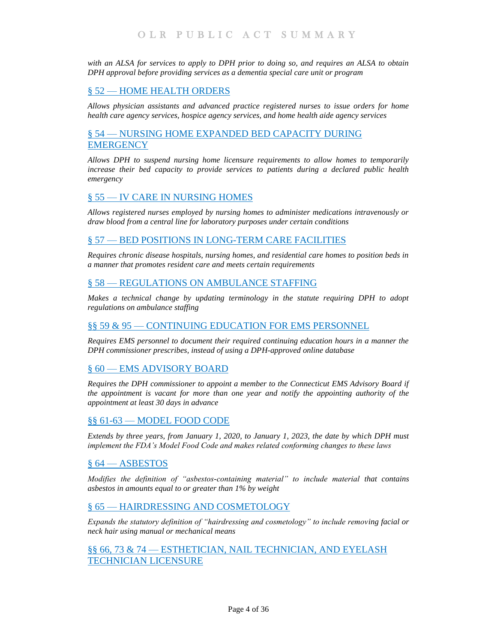*[with an ALSA for services to apply to DPH prior to doing so, and requires an ALSA to obtain](#page-18-3)  [DPH approval before providing services as a dementia special care unit or program](#page-18-3)*

# § 52 — [HOME HEALTH ORDERS](#page-19-0)

*[Allows physician assistants and advanced practice registered nurses to issue orders for home](#page-19-1)  [health care agency services, hospice agency services, and home health aide agency services](#page-19-1)*

# § 54 — [NURSING HOME EXPANDED BED CAPACITY DURING](#page-20-0)  **[EMERGENCY](#page-20-0)**

*[Allows DPH to suspend nursing home licensure requirements to allow homes to temporarily](#page-20-1)  [increase their bed capacity to provide services to patients during a declared public health](#page-20-1)  [emergency](#page-20-1)*

# § 55 — [IV CARE IN NURSING HOMES](#page-20-2)

*[Allows registered nurses employed by nursing homes to administer medications intravenously or](#page-20-3)  [draw blood from a central line for laboratory purposes under certain conditions](#page-20-3)*

## § 57 — [BED POSITIONS IN LONG-TERM CARE FACILITIES](#page-21-0)

*[Requires chronic disease hospitals, nursing homes, and residential care homes to position beds in](#page-21-1)  [a manner that promotes resident care and meets certain requirements](#page-21-1)*

## § 58 — [REGULATIONS ON AMBULANCE STAFFING](#page-21-2)

*[Makes a technical change by updating terminology in the statute requiring DPH to adopt](#page-21-3)  [regulations on ambulance staffing](#page-21-3)*

## §§ 59 & 95 — [CONTINUING EDUCATION](#page-21-4) FOR EMS PERSONNEL

*[Requires EMS personnel to document their required continuing education hours in a manner the](#page-21-5)  [DPH commissioner prescribes, instead of using a DPH-approved online database](#page-21-5)*

## § 60 — [EMS ADVISORY BOARD](#page-22-0)

*[Requires the DPH commissioner to appoint a member to the Connecticut EMS Advisory Board if](#page-22-1)  [the appointment is vacant for more than one year](#page-22-1) and notify the appointing authority of the [appointment at least 30 days in advance](#page-22-1)*

## §§ 61-63 — [MODEL FOOD CODE](#page-22-2)

*[Extends by three years, from January 1, 2020, to January 1, 2023, the date by which DPH must](#page-22-3)  [implement the FDA's Model Food Code and makes related conforming changes to these laws](#page-22-3)*

## § 64 — [ASBESTOS](#page-22-4)

*[Modifies the definition of "asbestos-containing material" to include material](#page-22-5) that contains [asbestos in amounts equal to or greater than 1% by weight](#page-22-5)*

## § 65 — [HAIRDRESSING AND COSMETOLOGY](#page-23-0)

*[Expands the statutory definition of "hairdressing and cosmetology" to include removing facial or](#page-23-1)  [neck hair using manual or mechanical means](#page-23-1)*

# §§ 66, 73 & 74 — [ESTHETICIAN, NAIL TECHNICIAN, AND EYELASH](#page-23-2)  [TECHNICIAN LICENSURE](#page-23-2)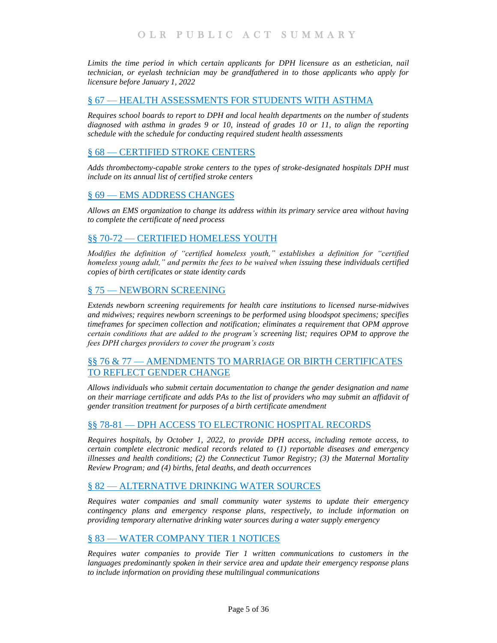Limits the time period in which certain applicants for DPH licensure as an esthetician, nail *[technician, or eyelash technician may be grandfathered in to those applicants who apply for](#page-23-3)  [licensure before January 1, 2022](#page-23-3)*

## § 67 — [HEALTH ASSESSMENTS FOR STUDENTS WITH ASTHMA](#page-23-4)

*[Requires school boards to report to DPH and local health departments on the number of students](#page-23-5)  [diagnosed with asthma in grades 9 or 10, instead of grades 10 or 11, to align the reporting](#page-23-5)  [schedule with the schedule for conducting required student health assessments](#page-23-5)*

## § 68 — [CERTIFIED STROKE CENTERS](#page-24-0)

*[Adds thrombectomy-capable stroke centers to the types of stroke-designated hospitals DPH must](#page-24-1)  [include on its annual list of certified stroke centers](#page-24-1)*

## § 69 — [EMS ADDRESS CHANGES](#page-24-2)

*[Allows an EMS organization to change its address within its primary service area without having](#page-24-3)  [to complete the certificate of need process](#page-24-3)*

## §§ 70-72 — [CERTIFIED HOMELESS YOUTH](#page-24-4)

*[Modifies the definition of "certified homeless youth," establishes a definition for "certified](#page-25-0)  [homeless young adult," and permits the fees to be waived when issuing these individuals certified](#page-25-0)  [copies of birth certificates or state identity cards](#page-25-0)*

# § 75 — [NEWBORN SCREENING](#page-25-1)

*[Extends newborn screening requirements for health care institutions to licensed](#page-25-2) nurse-midwives [and midwives; requires newborn screenings to be performed using bloodspot specimens; specifies](#page-25-2)  [timeframes for specimen collection and notification; eliminates a requirement that OPM approve](#page-25-2)  [certain conditions that are added to the program's](#page-25-2) screening list; requires OPM to approve the [fees DPH charges providers to cover the program's costs](#page-25-2)*

# §§ 76 & 77 — [AMENDMENTS TO MARRIAGE OR BIRTH CERTIFICATES](#page-27-0)  [TO REFLECT GENDER CHANGE](#page-27-0)

*[Allows individuals who submit certain documentation to change the gender designation and name](#page-27-1)  [on their marriage certificate and adds PAs to the list of providers who may submit an affidavit of](#page-27-1)  [gender transition treatment for purposes of a birth certificate amendment](#page-27-1)*

## §§ 78-81 — [DPH ACCESS TO ELECTRONIC HOSPITAL RECORDS](#page-28-0)

*[Requires hospitals, by October 1, 2022, to provide DPH access, including remote access, to](#page-28-1)  [certain complete electronic medical records related to \(1\) reportable diseases and emergency](#page-28-1)  [illnesses and health conditions; \(2\) the Connecticut Tumor Registry; \(3\) the Maternal Mortality](#page-28-1)  [Review Program; and \(4\) births, fetal deaths, and death occurrences](#page-28-1)*

## § 82 — [ALTERNATIVE DRINKING](#page-29-0) WATER SOURCES

*[Requires water companies and small community water systems to update their emergency](#page-29-1)  [contingency plans and emergency response plans, respectively, to include information on](#page-29-1)  [providing temporary alternative drinking water sources during a water supply emergency](#page-29-1)*

# § 83 — [WATER COMPANY TIER 1](#page-30-0) NOTICES

*[Requires water companies to provide Tier 1 written communications to customers in the](#page-30-1) [languages predominantly spoken in their service area and update their emergency response plans](#page-30-1)  [to include information on providing these multilingual communications](#page-30-1)*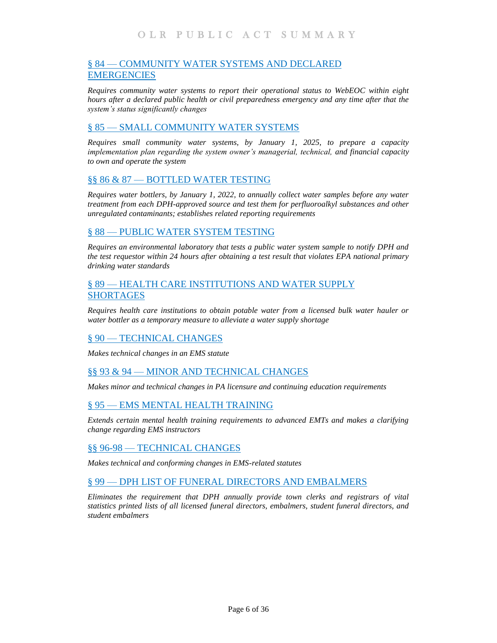# § 84 — [COMMUNITY WATER SYSTEMS AND DECLARED](#page-30-2)  **[EMERGENCIES](#page-30-2)**

*[Requires community water systems to report their operational status to WebEOC within eight](#page-30-3)  [hours after a declared public health or civil preparedness emergency and any time after that the](#page-30-3)  [system's status significantly changes](#page-30-3)*

# § 85 — [SMALL COMMUNITY WATER SYSTEMS](#page-31-0)

*[Requires small community water systems, by January 1, 2025, to prepare a capacity](#page-31-1)  [implementation plan regarding the system owner's managerial, technical, and financial capacity](#page-31-1)  [to own and operate the system](#page-31-1)*

## §§ 86 & 87 — [BOTTLED WATER TESTING](#page-32-0)

*[Requires water bottlers, by January 1, 2022, to annually collect water samples before any water](#page-32-1)  [treatment from each DPH-approved source and test them for perfluoroalkyl substances and other](#page-32-1)  [unregulated contaminants; establishes related reporting requirements](#page-32-1)*

## § 88 — [PUBLIC WATER SYSTEM TESTING](#page-33-0)

*[Requires an environmental laboratory that tests a public water system sample to notify DPH and](#page-33-1)  [the test requestor within 24 hours after obtaining a test result that violates EPA national primary](#page-33-1)  [drinking water standards](#page-33-1)*

## § 89 — [HEALTH CARE INSTITUTIONS AND WATER SUPPLY](#page-33-2)  [SHORTAGES](#page-33-2)

*[Requires health care institutions to obtain potable water from a licensed bulk water hauler or](#page-33-3)  [water bottler as a temporary measure to alleviate a water supply shortage](#page-33-3)*

## § 90 — [TECHNICAL CHANGES](#page-33-4)

*[Makes technical changes in an EMS statute](#page-33-5)*

## §§ 93 & 94 — [MINOR AND TECHNICAL CHANGES](#page-33-6)

*[Makes minor and technical changes in PA licensure and continuing education requirements](#page-34-0)*

## § 95 — [EMS MENTAL HEALTH TRAINING](#page-34-1)

*[Extends certain mental health training requirements to advanced EMTs and makes a clarifying](#page-34-2)  [change regarding EMS instructors](#page-34-2)*

## §§ 96-98 — [TECHNICAL CHANGES](#page-34-3)

*[Makes technical and conforming changes in EMS-related statutes](#page-34-4)*

## § 99 — [DPH LIST OF FUNERAL DIRECTORS AND EMBALMERS](#page-34-5)

*[Eliminates the requirement that DPH annually provide town clerks and registrars of vital](#page-35-0)  [statistics printed lists of all licensed funeral directors, embalmers, student funeral directors, and](#page-35-0)  [student embalmers](#page-35-0)*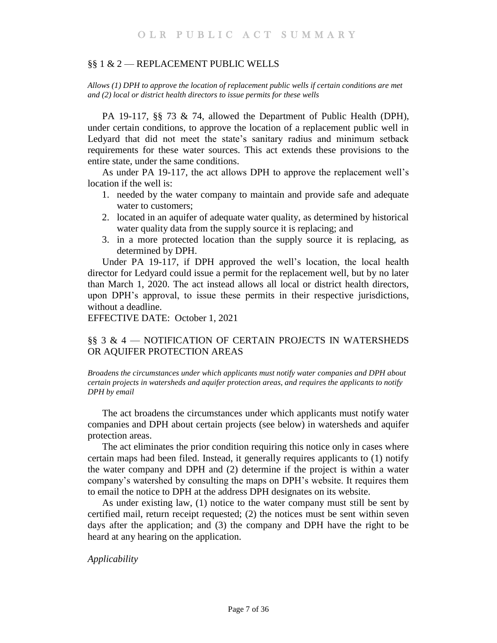#### <span id="page-6-0"></span>§§ 1 & 2 — REPLACEMENT PUBLIC WELLS

<span id="page-6-1"></span>*Allows (1) DPH to approve the location of replacement public wells if certain conditions are met and (2) local or district health directors to issue permits for these wells*

PA 19-117, §§ 73 & 74, allowed the Department of Public Health (DPH), under certain conditions, to approve the location of a replacement public well in Ledyard that did not meet the state's sanitary radius and minimum setback requirements for these water sources. This act extends these provisions to the entire state, under the same conditions.

As under PA 19-117, the act allows DPH to approve the replacement well's location if the well is:

- 1. needed by the water company to maintain and provide safe and adequate water to customers;
- 2. located in an aquifer of adequate water quality, as determined by historical water quality data from the supply source it is replacing; and
- 3. in a more protected location than the supply source it is replacing, as determined by DPH.

Under PA 19-117, if DPH approved the well's location, the local health director for Ledyard could issue a permit for the replacement well, but by no later than March 1, 2020. The act instead allows all local or district health directors, upon DPH's approval, to issue these permits in their respective jurisdictions, without a deadline.

EFFECTIVE DATE: October 1, 2021

# <span id="page-6-2"></span>§§ 3 & 4 — NOTIFICATION OF CERTAIN PROJECTS IN WATERSHEDS OR AQUIFER PROTECTION AREAS

<span id="page-6-3"></span>*Broadens the circumstances under which applicants must notify water companies and DPH about certain projects in watersheds and aquifer protection areas, and requires the applicants to notify DPH by email*

The act broadens the circumstances under which applicants must notify water companies and DPH about certain projects (see below) in watersheds and aquifer protection areas.

The act eliminates the prior condition requiring this notice only in cases where certain maps had been filed. Instead, it generally requires applicants to (1) notify the water company and DPH and (2) determine if the project is within a water company's watershed by consulting the maps on DPH's website. It requires them to email the notice to DPH at the address DPH designates on its website.

As under existing law, (1) notice to the water company must still be sent by certified mail, return receipt requested; (2) the notices must be sent within seven days after the application; and (3) the company and DPH have the right to be heard at any hearing on the application.

*Applicability*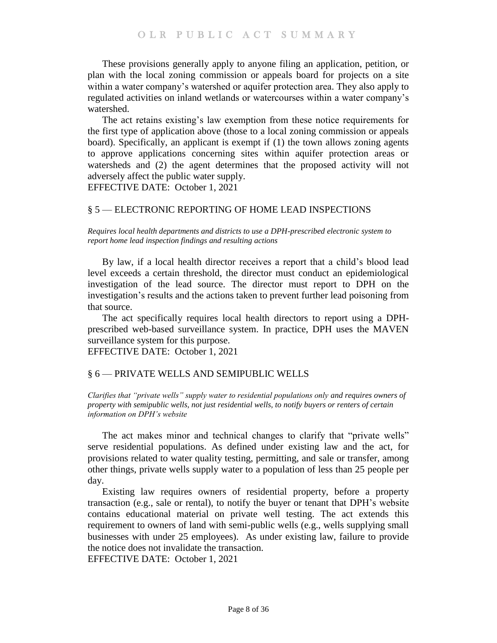These provisions generally apply to anyone filing an application, petition, or plan with the local zoning commission or appeals board for projects on a site within a water company's watershed or aquifer protection area. They also apply to regulated activities on inland wetlands or watercourses within a water company's watershed.

The act retains existing's law exemption from these notice requirements for the first type of application above (those to a local zoning commission or appeals board). Specifically, an applicant is exempt if (1) the town allows zoning agents to approve applications concerning sites within aquifer protection areas or watersheds and (2) the agent determines that the proposed activity will not adversely affect the public water supply.

EFFECTIVE DATE: October 1, 2021

# <span id="page-7-0"></span>§ 5 — ELECTRONIC REPORTING OF HOME LEAD INSPECTIONS

<span id="page-7-1"></span>*Requires local health departments and districts to use a DPH-prescribed electronic system to report home lead inspection findings and resulting actions*

By law, if a local health director receives a report that a child's blood lead level exceeds a certain threshold, the director must conduct an epidemiological investigation of the lead source. The director must report to DPH on the investigation's results and the actions taken to prevent further lead poisoning from that source.

The act specifically requires local health directors to report using a DPHprescribed web-based surveillance system. In practice, DPH uses the MAVEN surveillance system for this purpose.

EFFECTIVE DATE: October 1, 2021

## <span id="page-7-2"></span>§ 6 — PRIVATE WELLS AND SEMIPUBLIC WELLS

<span id="page-7-3"></span>*Clarifies that "private wells" supply water to residential populations only and requires owners of property with semipublic wells, not just residential wells, to notify buyers or renters of certain information on DPH's website*

The act makes minor and technical changes to clarify that "private wells" serve residential populations. As defined under existing law and the act, for provisions related to water quality testing, permitting, and sale or transfer, among other things, private wells supply water to a population of less than 25 people per day.

Existing law requires owners of residential property, before a property transaction (e.g., sale or rental), to notify the buyer or tenant that DPH's website contains educational material on private well testing. The act extends this requirement to owners of land with semi-public wells (e.g., wells supplying small businesses with under 25 employees). As under existing law, failure to provide the notice does not invalidate the transaction.

EFFECTIVE DATE: October 1, 2021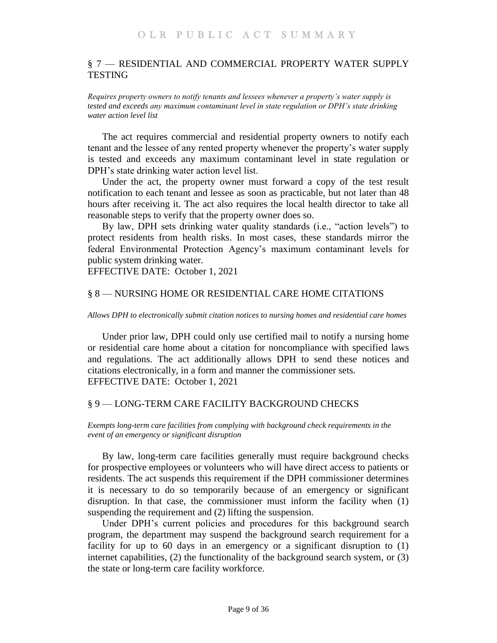# <span id="page-8-0"></span>§ 7 — RESIDENTIAL AND COMMERCIAL PROPERTY WATER SUPPLY **TESTING**

<span id="page-8-1"></span>*Requires property owners to notify tenants and lessees whenever a property's water supply is tested and exceeds any maximum contaminant level in state regulation or DPH's state drinking water action level list*

The act requires commercial and residential property owners to notify each tenant and the lessee of any rented property whenever the property's water supply is tested and exceeds any maximum contaminant level in state regulation or DPH's state drinking water action level list.

Under the act, the property owner must forward a copy of the test result notification to each tenant and lessee as soon as practicable, but not later than 48 hours after receiving it. The act also requires the local health director to take all reasonable steps to verify that the property owner does so.

By law, DPH sets drinking water quality standards (i.e., "action levels") to protect residents from health risks. In most cases, these standards mirror the federal Environmental Protection Agency's maximum contaminant levels for public system drinking water.

EFFECTIVE DATE: October 1, 2021

## <span id="page-8-2"></span>§ 8 — NURSING HOME OR RESIDENTIAL CARE HOME CITATIONS

<span id="page-8-3"></span>*Allows DPH to electronically submit citation notices to nursing homes and residential care homes*

Under prior law, DPH could only use certified mail to notify a nursing home or residential care home about a citation for noncompliance with specified laws and regulations. The act additionally allows DPH to send these notices and citations electronically, in a form and manner the commissioner sets. EFFECTIVE DATE: October 1, 2021

#### <span id="page-8-4"></span>§ 9 — LONG-TERM CARE FACILITY BACKGROUND CHECKS

<span id="page-8-5"></span>*Exempts long-term care facilities from complying with background check requirements in the event of an emergency or significant disruption*

By law, long-term care facilities generally must require background checks for prospective employees or volunteers who will have direct access to patients or residents. The act suspends this requirement if the DPH commissioner determines it is necessary to do so temporarily because of an emergency or significant disruption. In that case, the commissioner must inform the facility when (1) suspending the requirement and (2) lifting the suspension.

Under DPH's current policies and procedures for this background search program, the department may suspend the background search requirement for a facility for up to 60 days in an emergency or a significant disruption to (1) internet capabilities, (2) the functionality of the background search system, or (3) the state or long-term care facility workforce.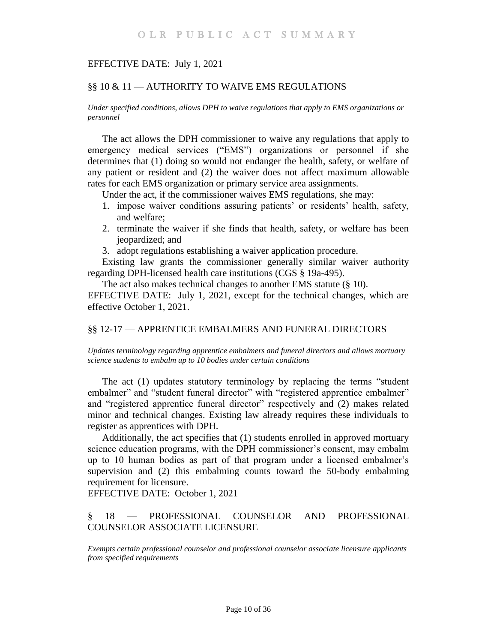## EFFECTIVE DATE: July 1, 2021

## <span id="page-9-0"></span>§§ 10 & 11 — AUTHORITY TO WAIVE EMS REGULATIONS

<span id="page-9-1"></span>*Under specified conditions, allows DPH to waive regulations that apply to EMS organizations or personnel*

The act allows the DPH commissioner to waive any regulations that apply to emergency medical services ("EMS") organizations or personnel if she determines that (1) doing so would not endanger the health, safety, or welfare of any patient or resident and (2) the waiver does not affect maximum allowable rates for each EMS organization or primary service area assignments.

Under the act, if the commissioner waives EMS regulations, she may:

- 1. impose waiver conditions assuring patients' or residents' health, safety, and welfare;
- 2. terminate the waiver if she finds that health, safety, or welfare has been jeopardized; and
- 3. adopt regulations establishing a waiver application procedure.

Existing law grants the commissioner generally similar waiver authority regarding DPH-licensed health care institutions (CGS § 19a-495).

The act also makes technical changes to another EMS statute (§ 10).

EFFECTIVE DATE: July 1, 2021, except for the technical changes, which are effective October 1, 2021.

#### <span id="page-9-2"></span>§§ 12-17 — APPRENTICE EMBALMERS AND FUNERAL DIRECTORS

<span id="page-9-3"></span>*Updates terminology regarding apprentice embalmers and funeral directors and allows mortuary science students to embalm up to 10 bodies under certain conditions*

The act (1) updates statutory terminology by replacing the terms "student embalmer" and "student funeral director" with "registered apprentice embalmer" and "registered apprentice funeral director" respectively and (2) makes related minor and technical changes. Existing law already requires these individuals to register as apprentices with DPH.

Additionally, the act specifies that (1) students enrolled in approved mortuary science education programs, with the DPH commissioner's consent, may embalm up to 10 human bodies as part of that program under a licensed embalmer's supervision and (2) this embalming counts toward the 50-body embalming requirement for licensure.

EFFECTIVE DATE: October 1, 2021

# <span id="page-9-4"></span>§ 18 — PROFESSIONAL COUNSELOR AND PROFESSIONAL COUNSELOR ASSOCIATE LICENSURE

<span id="page-9-5"></span>*Exempts certain professional counselor and professional counselor associate licensure applicants from specified requirements*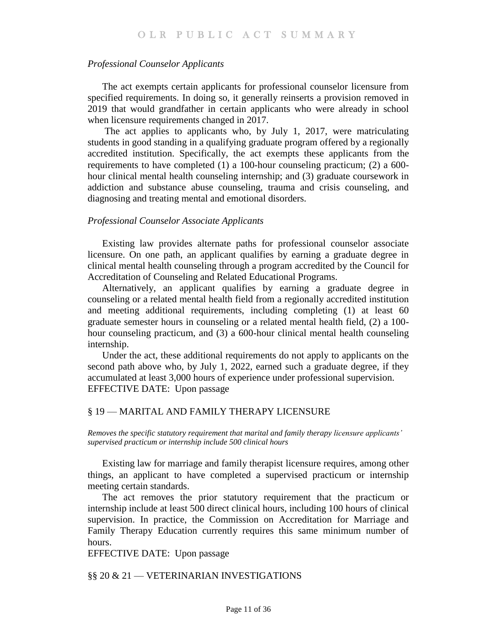#### *Professional Counselor Applicants*

The act exempts certain applicants for professional counselor licensure from specified requirements. In doing so, it generally reinserts a provision removed in 2019 that would grandfather in certain applicants who were already in school when licensure requirements changed in 2017.

The act applies to applicants who, by July 1, 2017, were matriculating students in good standing in a qualifying graduate program offered by a regionally accredited institution. Specifically, the act exempts these applicants from the requirements to have completed (1) a 100-hour counseling practicum; (2) a 600 hour clinical mental health counseling internship; and (3) graduate coursework in addiction and substance abuse counseling, trauma and crisis counseling, and diagnosing and treating mental and emotional disorders.

#### *Professional Counselor Associate Applicants*

Existing law provides alternate paths for professional counselor associate licensure. On one path, an applicant qualifies by earning a graduate degree in clinical mental health counseling through a program accredited by the Council for Accreditation of Counseling and Related Educational Programs.

Alternatively, an applicant qualifies by earning a graduate degree in counseling or a related mental health field from a regionally accredited institution and meeting additional requirements, including completing (1) at least 60 graduate semester hours in counseling or a related mental health field, (2) a 100 hour counseling practicum, and (3) a 600-hour clinical mental health counseling internship.

Under the act, these additional requirements do not apply to applicants on the second path above who, by July 1, 2022, earned such a graduate degree, if they accumulated at least 3,000 hours of experience under professional supervision. EFFECTIVE DATE: Upon passage

#### <span id="page-10-0"></span>§ 19 — MARITAL AND FAMILY THERAPY LICENSURE

<span id="page-10-1"></span>*Removes the specific statutory requirement that marital and family therapy licensure applicants' supervised practicum or internship include 500 clinical hours* 

Existing law for marriage and family therapist licensure requires, among other things, an applicant to have completed a supervised practicum or internship meeting certain standards.

The act removes the prior statutory requirement that the practicum or internship include at least 500 direct clinical hours, including 100 hours of clinical supervision. In practice, the Commission on Accreditation for Marriage and Family Therapy Education currently requires this same minimum number of hours.

EFFECTIVE DATE: Upon passage

<span id="page-10-2"></span>§§ 20 & 21 — VETERINARIAN INVESTIGATIONS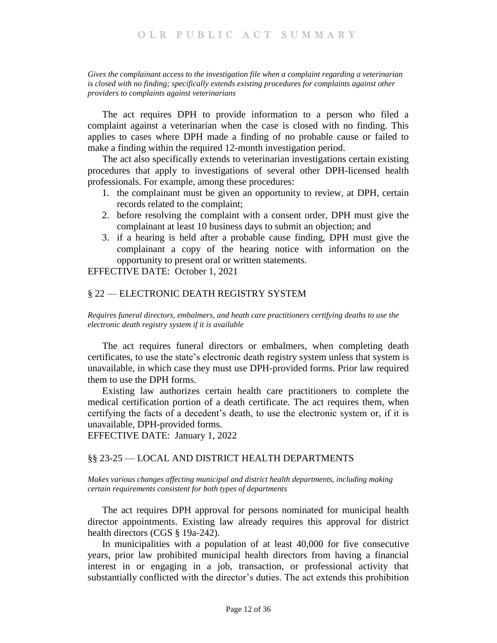# OLR PUBLIC ACT SUMMARY

#### <span id="page-11-0"></span>*Gives the complainant access to the investigation file when a complaint regarding a veterinarian is closed with no finding; specifically extends existing procedures for complaints against other providers to complaints against veterinarians*

The act requires DPH to provide information to a person who filed a complaint against a veterinarian when the case is closed with no finding. This applies to cases where DPH made a finding of no probable cause or failed to make a finding within the required 12-month investigation period.

The act also specifically extends to veterinarian investigations certain existing procedures that apply to investigations of several other DPH-licensed health professionals. For example, among these procedures:

- 1. the complainant must be given an opportunity to review, at DPH, certain records related to the complaint;
- 2. before resolving the complaint with a consent order, DPH must give the complainant at least 10 business days to submit an objection; and
- 3. if a hearing is held after a probable cause finding, DPH must give the complainant a copy of the hearing notice with information on the opportunity to present oral or written statements.

EFFECTIVE DATE: October 1, 2021

## <span id="page-11-1"></span>§ 22 — ELECTRONIC DEATH REGISTRY SYSTEM

<span id="page-11-2"></span>*Requires funeral directors, embalmers, and heath care practitioners certifying deaths to use the electronic death registry system if it is available*

The act requires funeral directors or embalmers, when completing death certificates, to use the state's electronic death registry system unless that system is unavailable, in which case they must use DPH-provided forms. Prior law required them to use the DPH forms.

Existing law authorizes certain health care practitioners to complete the medical certification portion of a death certificate. The act requires them, when certifying the facts of a decedent's death, to use the electronic system or, if it is unavailable, DPH-provided forms.

EFFECTIVE DATE: January 1, 2022

#### <span id="page-11-3"></span>§§ 23-25 — LOCAL AND DISTRICT HEALTH DEPARTMENTS

<span id="page-11-4"></span>*Makes various changes affecting municipal and district health departments, including making certain requirements consistent for both types of departments*

The act requires DPH approval for persons nominated for municipal health director appointments. Existing law already requires this approval for district health directors (CGS § 19a-242).

In municipalities with a population of at least 40,000 for five consecutive years, prior law prohibited municipal health directors from having a financial interest in or engaging in a job, transaction, or professional activity that substantially conflicted with the director's duties. The act extends this prohibition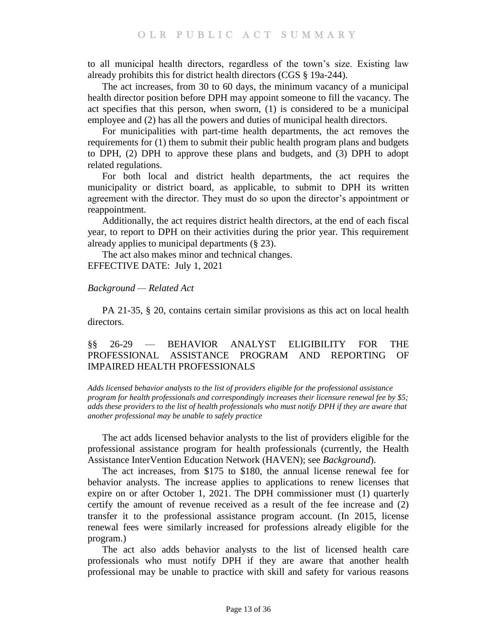to all municipal health directors, regardless of the town's size. Existing law already prohibits this for district health directors (CGS § 19a-244).

The act increases, from 30 to 60 days, the minimum vacancy of a municipal health director position before DPH may appoint someone to fill the vacancy. The act specifies that this person, when sworn, (1) is considered to be a municipal employee and (2) has all the powers and duties of municipal health directors.

For municipalities with part-time health departments, the act removes the requirements for (1) them to submit their public health program plans and budgets to DPH, (2) DPH to approve these plans and budgets, and (3) DPH to adopt related regulations.

For both local and district health departments, the act requires the municipality or district board, as applicable, to submit to DPH its written agreement with the director. They must do so upon the director's appointment or reappointment.

Additionally, the act requires district health directors, at the end of each fiscal year, to report to DPH on their activities during the prior year. This requirement already applies to municipal departments (§ 23).

The act also makes minor and technical changes. EFFECTIVE DATE: July 1, 2021

## *Background — Related Act*

PA 21-35, § 20, contains certain similar provisions as this act on local health directors.

# <span id="page-12-0"></span>§§ 26-29 — BEHAVIOR ANALYST ELIGIBILITY FOR THE PROFESSIONAL ASSISTANCE PROGRAM AND REPORTING OF IMPAIRED HEALTH PROFESSIONALS

<span id="page-12-1"></span>*Adds licensed behavior analysts to the list of providers eligible for the professional assistance program for health professionals and correspondingly increases their licensure renewal fee by \$5; adds these providers to the list of health professionals who must notify DPH if they are aware that another professional may be unable to safely practice*

The act adds licensed behavior analysts to the list of providers eligible for the professional assistance program for health professionals (currently, the Health Assistance InterVention Education Network (HAVEN); see *Background*).

The act increases, from \$175 to \$180, the annual license renewal fee for behavior analysts. The increase applies to applications to renew licenses that expire on or after October 1, 2021. The DPH commissioner must (1) quarterly certify the amount of revenue received as a result of the fee increase and (2) transfer it to the professional assistance program account. (In 2015, license renewal fees were similarly increased for professions already eligible for the program.)

The act also adds behavior analysts to the list of licensed health care professionals who must notify DPH if they are aware that another health professional may be unable to practice with skill and safety for various reasons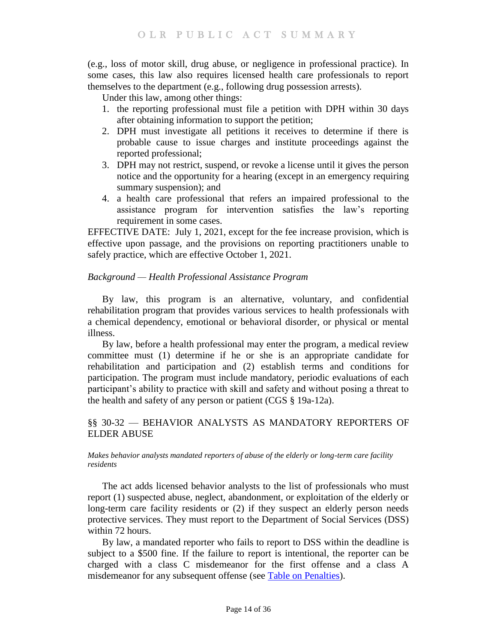(e.g., loss of motor skill, drug abuse, or negligence in professional practice). In some cases, this law also requires licensed health care professionals to report themselves to the department (e.g., following drug possession arrests).

Under this law, among other things:

- 1. the reporting professional must file a petition with DPH within 30 days after obtaining information to support the petition;
- 2. DPH must investigate all petitions it receives to determine if there is probable cause to issue charges and institute proceedings against the reported professional;
- 3. DPH may not restrict, suspend, or revoke a license until it gives the person notice and the opportunity for a hearing (except in an emergency requiring summary suspension); and
- 4. a health care professional that refers an impaired professional to the assistance program for intervention satisfies the law's reporting requirement in some cases.

EFFECTIVE DATE: July 1, 2021, except for the fee increase provision, which is effective upon passage, and the provisions on reporting practitioners unable to safely practice, which are effective October 1, 2021.

# *Background — Health Professional Assistance Program*

By law, this program is an alternative, voluntary, and confidential rehabilitation program that provides various services to health professionals with a chemical dependency, emotional or behavioral disorder, or physical or mental illness.

By law, before a health professional may enter the program, a medical review committee must (1) determine if he or she is an appropriate candidate for rehabilitation and participation and (2) establish terms and conditions for participation. The program must include mandatory, periodic evaluations of each participant's ability to practice with skill and safety and without posing a threat to the health and safety of any person or patient (CGS § 19a-12a).

# <span id="page-13-0"></span>§§ 30-32 — BEHAVIOR ANALYSTS AS MANDATORY REPORTERS OF ELDER ABUSE

#### <span id="page-13-1"></span>*Makes behavior analysts mandated reporters of abuse of the elderly or long-term care facility residents*

The act adds licensed behavior analysts to the list of professionals who must report (1) suspected abuse, neglect, abandonment, or exploitation of the elderly or long-term care facility residents or (2) if they suspect an elderly person needs protective services. They must report to the Department of Social Services (DSS) within 72 hours.

By law, a mandated reporter who fails to report to DSS within the deadline is subject to a \$500 fine. If the failure to report is intentional, the reporter can be charged with a class C misdemeanor for the first offense and a class A misdemeanor for any subsequent offense (see [Table on Penalties\)](https://www.cga.ct.gov/2021/rpt/pdf/2021-R-0123.pdf).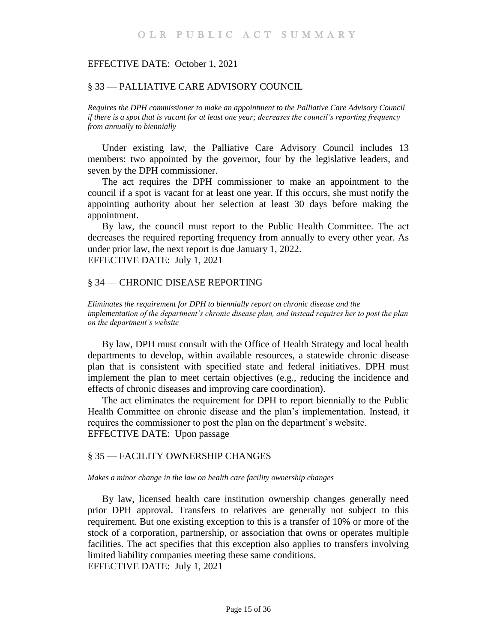#### EFFECTIVE DATE: October 1, 2021

#### <span id="page-14-0"></span>§ 33 — PALLIATIVE CARE ADVISORY COUNCIL

<span id="page-14-1"></span>*Requires the DPH commissioner to make an appointment to the Palliative Care Advisory Council if there is a spot that is vacant for at least one year; decreases the council's reporting frequency from annually to biennially*

Under existing law, the Palliative Care Advisory Council includes 13 members: two appointed by the governor, four by the legislative leaders, and seven by the DPH commissioner.

The act requires the DPH commissioner to make an appointment to the council if a spot is vacant for at least one year. If this occurs, she must notify the appointing authority about her selection at least 30 days before making the appointment.

By law, the council must report to the Public Health Committee. The act decreases the required reporting frequency from annually to every other year. As under prior law, the next report is due January 1, 2022. EFFECTIVE DATE: July 1, 2021

#### <span id="page-14-2"></span>§ 34 — CHRONIC DISEASE REPORTING

<span id="page-14-3"></span>*Eliminates the requirement for DPH to biennially report on chronic disease and the implementation of the department's chronic disease plan, and instead requires her to post the plan on the department's website*

By law, DPH must consult with the Office of Health Strategy and local health departments to develop, within available resources, a statewide chronic disease plan that is consistent with specified state and federal initiatives. DPH must implement the plan to meet certain objectives (e.g., reducing the incidence and effects of chronic diseases and improving care coordination).

The act eliminates the requirement for DPH to report biennially to the Public Health Committee on chronic disease and the plan's implementation. Instead, it requires the commissioner to post the plan on the department's website. EFFECTIVE DATE: Upon passage

#### <span id="page-14-4"></span>§ 35 — FACILITY OWNERSHIP CHANGES

#### <span id="page-14-5"></span>*Makes a minor change in the law on health care facility ownership changes*

By law, licensed health care institution ownership changes generally need prior DPH approval. Transfers to relatives are generally not subject to this requirement. But one existing exception to this is a transfer of 10% or more of the stock of a corporation, partnership, or association that owns or operates multiple facilities. The act specifies that this exception also applies to transfers involving limited liability companies meeting these same conditions. EFFECTIVE DATE: July 1, 2021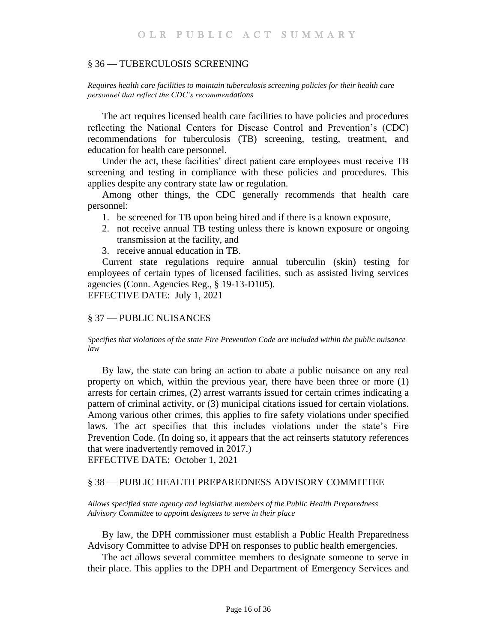#### <span id="page-15-0"></span>§ 36 — TUBERCULOSIS SCREENING

<span id="page-15-1"></span>*Requires health care facilities to maintain tuberculosis screening policies for their health care personnel that reflect the CDC's recommendations*

The act requires licensed health care facilities to have policies and procedures reflecting the National Centers for Disease Control and Prevention's (CDC) recommendations for tuberculosis (TB) screening, testing, treatment, and education for health care personnel.

Under the act, these facilities' direct patient care employees must receive TB screening and testing in compliance with these policies and procedures. This applies despite any contrary state law or regulation.

Among other things, the CDC generally recommends that health care personnel:

- 1. be screened for TB upon being hired and if there is a known exposure,
- 2. not receive annual TB testing unless there is known exposure or ongoing transmission at the facility, and
- 3. receive annual education in TB.

Current state regulations require annual tuberculin (skin) testing for employees of certain types of licensed facilities, such as assisted living services agencies (Conn. Agencies Reg., § 19-13-D105). EFFECTIVE DATE: July 1, 2021

## <span id="page-15-2"></span>§ 37 — PUBLIC NUISANCES

#### <span id="page-15-3"></span>*Specifies that violations of the state Fire Prevention Code are included within the public nuisance law*

By law, the state can bring an action to abate a public nuisance on any real property on which, within the previous year, there have been three or more (1) arrests for certain crimes, (2) arrest warrants issued for certain crimes indicating a pattern of criminal activity, or (3) municipal citations issued for certain violations. Among various other crimes, this applies to fire safety violations under specified laws. The act specifies that this includes violations under the state's Fire Prevention Code. (In doing so, it appears that the act reinserts statutory references that were inadvertently removed in 2017.)

EFFECTIVE DATE: October 1, 2021

## <span id="page-15-4"></span>§ 38 — PUBLIC HEALTH PREPAREDNESS ADVISORY COMMITTEE

<span id="page-15-5"></span>*Allows specified state agency and legislative members of the Public Health Preparedness Advisory Committee to appoint designees to serve in their place*

By law, the DPH commissioner must establish a Public Health Preparedness Advisory Committee to advise DPH on responses to public health emergencies.

The act allows several committee members to designate someone to serve in their place. This applies to the DPH and Department of Emergency Services and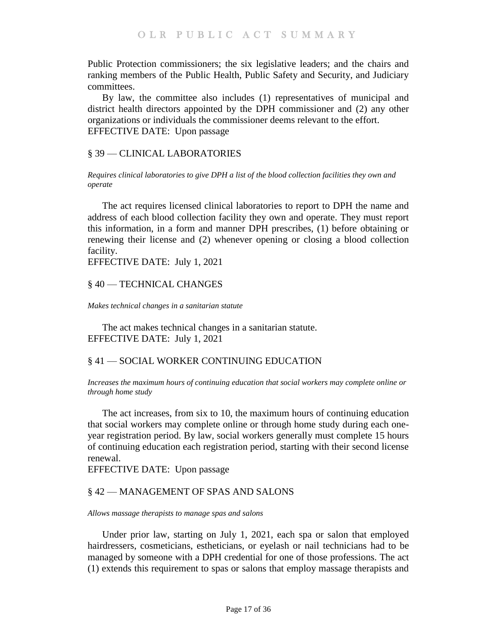Public Protection commissioners; the six legislative leaders; and the chairs and ranking members of the Public Health, Public Safety and Security, and Judiciary committees.

By law, the committee also includes (1) representatives of municipal and district health directors appointed by the DPH commissioner and (2) any other organizations or individuals the commissioner deems relevant to the effort. EFFECTIVE DATE: Upon passage

## <span id="page-16-0"></span>§ 39 — CLINICAL LABORATORIES

<span id="page-16-1"></span>*Requires clinical laboratories to give DPH a list of the blood collection facilities they own and operate*

The act requires licensed clinical laboratories to report to DPH the name and address of each blood collection facility they own and operate. They must report this information, in a form and manner DPH prescribes, (1) before obtaining or renewing their license and (2) whenever opening or closing a blood collection facility.

EFFECTIVE DATE: July 1, 2021

## <span id="page-16-2"></span>§ 40 — TECHNICAL CHANGES

<span id="page-16-3"></span>*Makes technical changes in a sanitarian statute* 

The act makes technical changes in a sanitarian statute. EFFECTIVE DATE: July 1, 2021

## <span id="page-16-4"></span>§ 41 — SOCIAL WORKER CONTINUING EDUCATION

<span id="page-16-5"></span>*Increases the maximum hours of continuing education that social workers may complete online or through home study*

The act increases, from six to 10, the maximum hours of continuing education that social workers may complete online or through home study during each oneyear registration period. By law, social workers generally must complete 15 hours of continuing education each registration period, starting with their second license renewal.

EFFECTIVE DATE: Upon passage

# <span id="page-16-6"></span>§ 42 — MANAGEMENT OF SPAS AND SALONS

<span id="page-16-7"></span>*Allows massage therapists to manage spas and salons*

Under prior law, starting on July 1, 2021, each spa or salon that employed hairdressers, cosmeticians, estheticians, or eyelash or nail technicians had to be managed by someone with a DPH credential for one of those professions. The act (1) extends this requirement to spas or salons that employ massage therapists and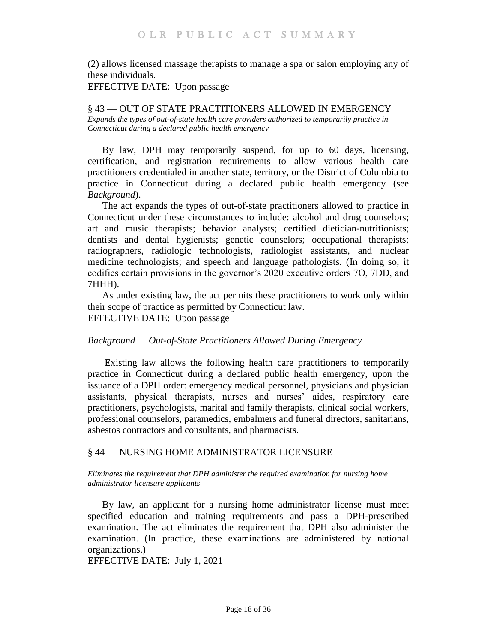(2) allows licensed massage therapists to manage a spa or salon employing any of these individuals.

EFFECTIVE DATE: Upon passage

<span id="page-17-1"></span><span id="page-17-0"></span>§ 43 — OUT OF STATE PRACTITIONERS ALLOWED IN EMERGENCY *Expands the types of out-of-state health care providers authorized to temporarily practice in Connecticut during a declared public health emergency*

By law, DPH may temporarily suspend, for up to 60 days, licensing, certification, and registration requirements to allow various health care practitioners credentialed in another state, territory, or the District of Columbia to practice in Connecticut during a declared public health emergency (see *Background*).

The act expands the types of out-of-state practitioners allowed to practice in Connecticut under these circumstances to include: alcohol and drug counselors; art and music therapists; behavior analysts; certified dietician-nutritionists; dentists and dental hygienists; genetic counselors; occupational therapists; radiographers, radiologic technologists, radiologist assistants, and nuclear medicine technologists; and speech and language pathologists. (In doing so, it codifies certain provisions in the governor's 2020 executive orders 7O, 7DD, and 7HHH).

As under existing law, the act permits these practitioners to work only within their scope of practice as permitted by Connecticut law. EFFECTIVE DATE: Upon passage

## *Background — Out-of-State Practitioners Allowed During Emergency*

Existing law allows the following health care practitioners to temporarily practice in Connecticut during a declared public health emergency, upon the issuance of a DPH order: emergency medical personnel, physicians and physician assistants, physical therapists, nurses and nurses' aides, respiratory care practitioners, psychologists, marital and family therapists, clinical social workers, professional counselors, paramedics, embalmers and funeral directors, sanitarians, asbestos contractors and consultants, and pharmacists.

## <span id="page-17-2"></span>§ 44 — NURSING HOME ADMINISTRATOR LICENSURE

#### <span id="page-17-3"></span>*Eliminates the requirement that DPH administer the required examination for nursing home administrator licensure applicants*

By law, an applicant for a nursing home administrator license must meet specified education and training requirements and pass a DPH-prescribed examination. The act eliminates the requirement that DPH also administer the examination. (In practice, these examinations are administered by national organizations.)

EFFECTIVE DATE: July 1, 2021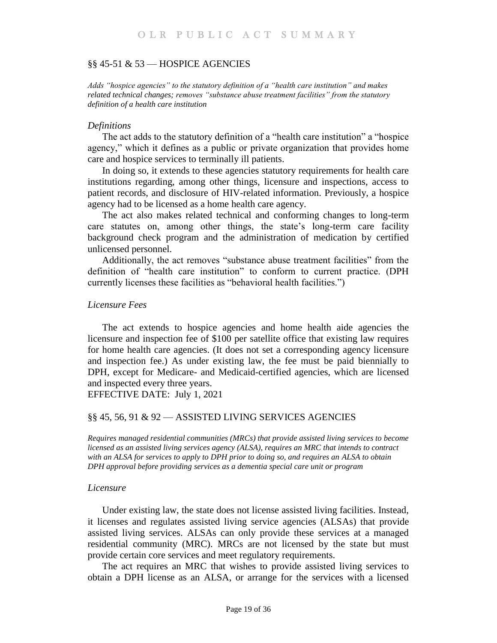#### <span id="page-18-0"></span>§§ 45-51 & 53 — HOSPICE AGENCIES

<span id="page-18-1"></span>*Adds "hospice agencies" to the statutory definition of a "health care institution" and makes related technical changes; removes "substance abuse treatment facilities" from the statutory definition of a health care institution*

#### *Definitions*

The act adds to the statutory definition of a "health care institution" a "hospice agency," which it defines as a public or private organization that provides home care and hospice services to terminally ill patients.

In doing so, it extends to these agencies statutory requirements for health care institutions regarding, among other things, licensure and inspections, access to patient records, and disclosure of HIV-related information. Previously, a hospice agency had to be licensed as a home health care agency.

The act also makes related technical and conforming changes to long-term care statutes on, among other things, the state's long-term care facility background check program and the administration of medication by certified unlicensed personnel.

Additionally, the act removes "substance abuse treatment facilities" from the definition of "health care institution" to conform to current practice. (DPH currently licenses these facilities as "behavioral health facilities.")

#### *Licensure Fees*

The act extends to hospice agencies and home health aide agencies the licensure and inspection fee of \$100 per satellite office that existing law requires for home health care agencies. (It does not set a corresponding agency licensure and inspection fee.) As under existing law, the fee must be paid biennially to DPH, except for Medicare- and Medicaid-certified agencies, which are licensed and inspected every three years.

EFFECTIVE DATE: July 1, 2021

#### <span id="page-18-2"></span>§§ 45, 56, 91 & 92 — ASSISTED LIVING SERVICES AGENCIES

<span id="page-18-3"></span>*Requires managed residential communities (MRCs) that provide assisted living services to become licensed as an assisted living services agency (ALSA), requires an MRC that intends to contract with an ALSA for services to apply to DPH prior to doing so, and requires an ALSA to obtain DPH approval before providing services as a dementia special care unit or program*

#### *Licensure*

Under existing law, the state does not license assisted living facilities. Instead, it licenses and regulates assisted living service agencies (ALSAs) that provide assisted living services. ALSAs can only provide these services at a managed residential community (MRC). MRCs are not licensed by the state but must provide certain core services and meet regulatory requirements.

The act requires an MRC that wishes to provide assisted living services to obtain a DPH license as an ALSA, or arrange for the services with a licensed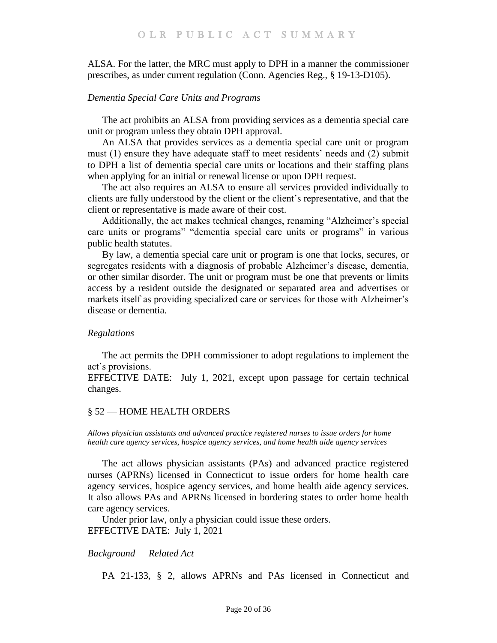ALSA. For the latter, the MRC must apply to DPH in a manner the commissioner prescribes, as under current regulation (Conn. Agencies Reg., § 19-13-D105).

## *Dementia Special Care Units and Programs*

The act prohibits an ALSA from providing services as a dementia special care unit or program unless they obtain DPH approval.

An ALSA that provides services as a dementia special care unit or program must (1) ensure they have adequate staff to meet residents' needs and (2) submit to DPH a list of dementia special care units or locations and their staffing plans when applying for an initial or renewal license or upon DPH request.

The act also requires an ALSA to ensure all services provided individually to clients are fully understood by the client or the client's representative, and that the client or representative is made aware of their cost.

Additionally, the act makes technical changes, renaming "Alzheimer's special care units or programs" "dementia special care units or programs" in various public health statutes.

By law, a dementia special care unit or program is one that locks, secures, or segregates residents with a diagnosis of probable Alzheimer's disease, dementia, or other similar disorder. The unit or program must be one that prevents or limits access by a resident outside the designated or separated area and advertises or markets itself as providing specialized care or services for those with Alzheimer's disease or dementia.

## *Regulations*

The act permits the DPH commissioner to adopt regulations to implement the act's provisions.

EFFECTIVE DATE: July 1, 2021, except upon passage for certain technical changes.

## <span id="page-19-0"></span>§ 52 — HOME HEALTH ORDERS

<span id="page-19-1"></span>*Allows physician assistants and advanced practice registered nurses to issue orders for home health care agency services, hospice agency services, and home health aide agency services*

The act allows physician assistants (PAs) and advanced practice registered nurses (APRNs) licensed in Connecticut to issue orders for home health care agency services, hospice agency services, and home health aide agency services. It also allows PAs and APRNs licensed in bordering states to order home health care agency services.

Under prior law, only a physician could issue these orders. EFFECTIVE DATE: July 1, 2021

## *Background — Related Act*

PA 21-133, § 2, allows APRNs and PAs licensed in Connecticut and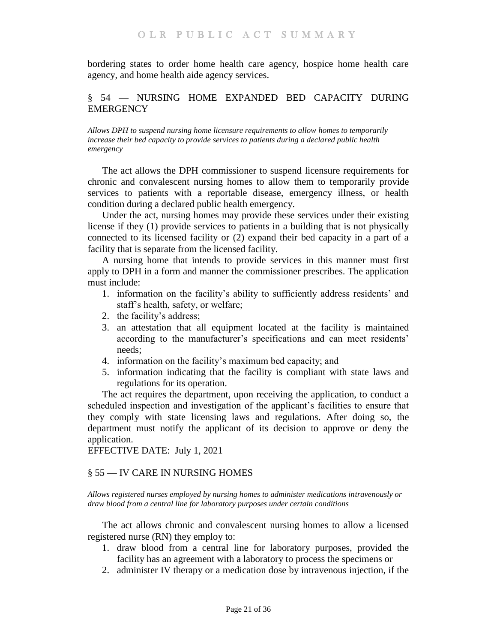bordering states to order home health care agency, hospice home health care agency, and home health aide agency services.

# <span id="page-20-0"></span>§ 54 — NURSING HOME EXPANDED BED CAPACITY DURING **EMERGENCY**

<span id="page-20-1"></span>*Allows DPH to suspend nursing home licensure requirements to allow homes to temporarily increase their bed capacity to provide services to patients during a declared public health emergency*

The act allows the DPH commissioner to suspend licensure requirements for chronic and convalescent nursing homes to allow them to temporarily provide services to patients with a reportable disease, emergency illness, or health condition during a declared public health emergency.

Under the act, nursing homes may provide these services under their existing license if they (1) provide services to patients in a building that is not physically connected to its licensed facility or (2) expand their bed capacity in a part of a facility that is separate from the licensed facility.

A nursing home that intends to provide services in this manner must first apply to DPH in a form and manner the commissioner prescribes. The application must include:

- 1. information on the facility's ability to sufficiently address residents' and staff's health, safety, or welfare;
- 2. the facility's address;
- 3. an attestation that all equipment located at the facility is maintained according to the manufacturer's specifications and can meet residents' needs;
- 4. information on the facility's maximum bed capacity; and
- 5. information indicating that the facility is compliant with state laws and regulations for its operation.

The act requires the department, upon receiving the application, to conduct a scheduled inspection and investigation of the applicant's facilities to ensure that they comply with state licensing laws and regulations. After doing so, the department must notify the applicant of its decision to approve or deny the application.

EFFECTIVE DATE: July 1, 2021

## <span id="page-20-2"></span>§ 55 — IV CARE IN NURSING HOMES

<span id="page-20-3"></span>*Allows registered nurses employed by nursing homes to administer medications intravenously or draw blood from a central line for laboratory purposes under certain conditions*

The act allows chronic and convalescent nursing homes to allow a licensed registered nurse (RN) they employ to:

- 1. draw blood from a central line for laboratory purposes, provided the facility has an agreement with a laboratory to process the specimens or
- 2. administer IV therapy or a medication dose by intravenous injection, if the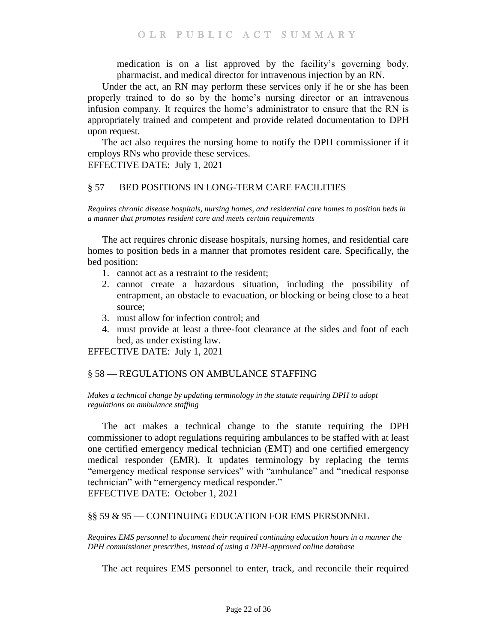medication is on a list approved by the facility's governing body, pharmacist, and medical director for intravenous injection by an RN.

Under the act, an RN may perform these services only if he or she has been properly trained to do so by the home's nursing director or an intravenous infusion company. It requires the home's administrator to ensure that the RN is appropriately trained and competent and provide related documentation to DPH upon request.

The act also requires the nursing home to notify the DPH commissioner if it employs RNs who provide these services.

EFFECTIVE DATE: July 1, 2021

## <span id="page-21-0"></span>§ 57 — BED POSITIONS IN LONG-TERM CARE FACILITIES

<span id="page-21-1"></span>*Requires chronic disease hospitals, nursing homes, and residential care homes to position beds in a manner that promotes resident care and meets certain requirements*

The act requires chronic disease hospitals, nursing homes, and residential care homes to position beds in a manner that promotes resident care. Specifically, the bed position:

- 1. cannot act as a restraint to the resident;
- 2. cannot create a hazardous situation, including the possibility of entrapment, an obstacle to evacuation, or blocking or being close to a heat source;
- 3. must allow for infection control; and
- 4. must provide at least a three-foot clearance at the sides and foot of each bed, as under existing law.

EFFECTIVE DATE: July 1, 2021

# <span id="page-21-2"></span>§ 58 — REGULATIONS ON AMBULANCE STAFFING

<span id="page-21-3"></span>*Makes a technical change by updating terminology in the statute requiring DPH to adopt regulations on ambulance staffing*

The act makes a technical change to the statute requiring the DPH commissioner to adopt regulations requiring ambulances to be staffed with at least one certified emergency medical technician (EMT) and one certified emergency medical responder (EMR). It updates terminology by replacing the terms "emergency medical response services" with "ambulance" and "medical response technician" with "emergency medical responder." EFFECTIVE DATE: October 1, 2021

## <span id="page-21-4"></span>§§ 59 & 95 — CONTINUING EDUCATION FOR EMS PERSONNEL

<span id="page-21-5"></span>*Requires EMS personnel to document their required continuing education hours in a manner the DPH commissioner prescribes, instead of using a DPH-approved online database*

The act requires EMS personnel to enter, track, and reconcile their required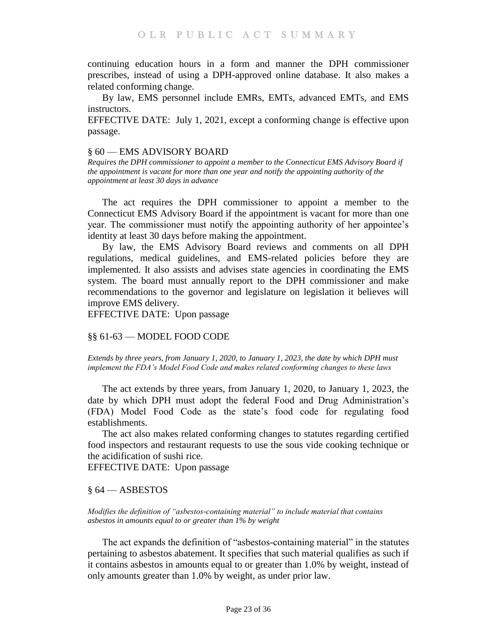continuing education hours in a form and manner the DPH commissioner prescribes, instead of using a DPH-approved online database. It also makes a related conforming change.

By law, EMS personnel include EMRs, EMTs, advanced EMTs, and EMS instructors.

EFFECTIVE DATE: July 1, 2021, except a conforming change is effective upon passage.

#### <span id="page-22-0"></span>§ 60 — EMS ADVISORY BOARD

<span id="page-22-1"></span>*Requires the DPH commissioner to appoint a member to the Connecticut EMS Advisory Board if the appointment is vacant for more than one year and notify the appointing authority of the appointment at least 30 days in advance*

The act requires the DPH commissioner to appoint a member to the Connecticut EMS Advisory Board if the appointment is vacant for more than one year. The commissioner must notify the appointing authority of her appointee's identity at least 30 days before making the appointment.

By law, the EMS Advisory Board reviews and comments on all DPH regulations, medical guidelines, and EMS-related policies before they are implemented. It also assists and advises state agencies in coordinating the EMS system. The board must annually report to the DPH commissioner and make recommendations to the governor and legislature on legislation it believes will improve EMS delivery.

EFFECTIVE DATE: Upon passage

## <span id="page-22-2"></span>§§ 61-63 — MODEL FOOD CODE

<span id="page-22-3"></span>*Extends by three years, from January 1, 2020, to January 1, 2023, the date by which DPH must implement the FDA's Model Food Code and makes related conforming changes to these laws*

The act extends by three years, from January 1, 2020, to January 1, 2023, the date by which DPH must adopt the federal Food and Drug Administration's (FDA) Model Food Code as the state's food code for regulating food establishments.

The act also makes related conforming changes to statutes regarding certified food inspectors and restaurant requests to use the sous vide cooking technique or the acidification of sushi rice.

EFFECTIVE DATE: Upon passage

## <span id="page-22-4"></span>§ 64 — ASBESTOS

<span id="page-22-5"></span>*Modifies the definition of "asbestos-containing material" to include material that contains asbestos in amounts equal to or greater than 1% by weight*

The act expands the definition of "asbestos-containing material" in the statutes pertaining to asbestos abatement. It specifies that such material qualifies as such if it contains asbestos in amounts equal to or greater than 1.0% by weight, instead of only amounts greater than 1.0% by weight, as under prior law.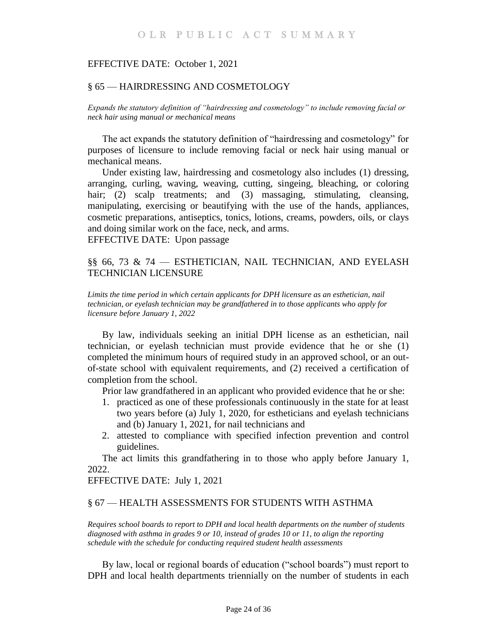#### EFFECTIVE DATE: October 1, 2021

## <span id="page-23-0"></span>§ 65 — HAIRDRESSING AND COSMETOLOGY

<span id="page-23-1"></span>*Expands the statutory definition of "hairdressing and cosmetology" to include removing facial or neck hair using manual or mechanical means*

The act expands the statutory definition of "hairdressing and cosmetology" for purposes of licensure to include removing facial or neck hair using manual or mechanical means.

Under existing law, hairdressing and cosmetology also includes (1) dressing, arranging, curling, waving, weaving, cutting, singeing, bleaching, or coloring hair; (2) scalp treatments; and (3) massaging, stimulating, cleansing, manipulating, exercising or beautifying with the use of the hands, appliances, cosmetic preparations, antiseptics, tonics, lotions, creams, powders, oils, or clays and doing similar work on the face, neck, and arms.

EFFECTIVE DATE: Upon passage

# <span id="page-23-2"></span>§§ 66, 73 & 74 — ESTHETICIAN, NAIL TECHNICIAN, AND EYELASH TECHNICIAN LICENSURE

<span id="page-23-3"></span>*Limits the time period in which certain applicants for DPH licensure as an esthetician, nail technician, or eyelash technician may be grandfathered in to those applicants who apply for licensure before January 1, 2022*

By law, individuals seeking an initial DPH license as an esthetician, nail technician, or eyelash technician must provide evidence that he or she (1) completed the minimum hours of required study in an approved school, or an outof-state school with equivalent requirements, and (2) received a certification of completion from the school.

Prior law grandfathered in an applicant who provided evidence that he or she:

- 1. practiced as one of these professionals continuously in the state for at least two years before (a) July 1, 2020, for estheticians and eyelash technicians and (b) January 1, 2021, for nail technicians and
- 2. attested to compliance with specified infection prevention and control guidelines.

The act limits this grandfathering in to those who apply before January 1, 2022.

EFFECTIVE DATE: July 1, 2021

#### <span id="page-23-4"></span>§ 67 — HEALTH ASSESSMENTS FOR STUDENTS WITH ASTHMA

<span id="page-23-5"></span>*Requires school boards to report to DPH and local health departments on the number of students diagnosed with asthma in grades 9 or 10, instead of grades 10 or 11, to align the reporting schedule with the schedule for conducting required student health assessments*

By law, local or regional boards of education ("school boards") must report to DPH and local health departments triennially on the number of students in each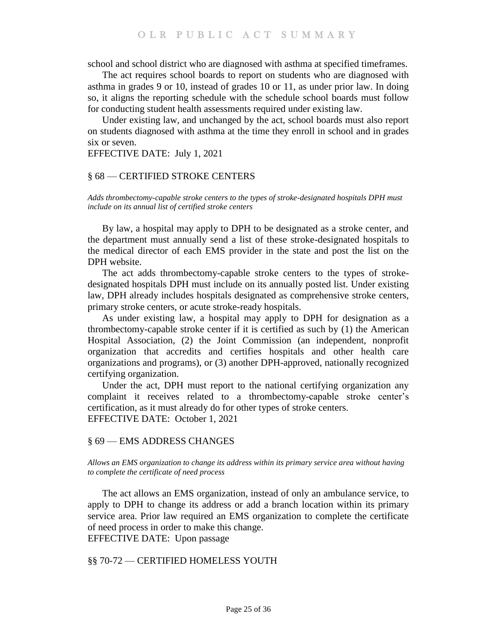school and school district who are diagnosed with asthma at specified timeframes.

The act requires school boards to report on students who are diagnosed with asthma in grades 9 or 10, instead of grades 10 or 11, as under prior law. In doing so, it aligns the reporting schedule with the schedule school boards must follow for conducting student health assessments required under existing law.

Under existing law, and unchanged by the act, school boards must also report on students diagnosed with asthma at the time they enroll in school and in grades six or seven.

EFFECTIVE DATE: July 1, 2021

#### <span id="page-24-0"></span>§ 68 — CERTIFIED STROKE CENTERS

<span id="page-24-1"></span>*Adds thrombectomy-capable stroke centers to the types of stroke-designated hospitals DPH must include on its annual list of certified stroke centers*

By law, a hospital may apply to DPH to be designated as a stroke center, and the department must annually send a list of these stroke-designated hospitals to the medical director of each EMS provider in the state and post the list on the DPH website.

The act adds thrombectomy-capable stroke centers to the types of strokedesignated hospitals DPH must include on its annually posted list. Under existing law, DPH already includes hospitals designated as comprehensive stroke centers, primary stroke centers, or acute stroke-ready hospitals.

As under existing law, a hospital may apply to DPH for designation as a thrombectomy-capable stroke center if it is certified as such by (1) the American Hospital Association, (2) the Joint Commission (an independent, nonprofit organization that accredits and certifies hospitals and other health care organizations and programs), or (3) another DPH-approved, nationally recognized certifying organization.

Under the act, DPH must report to the national certifying organization any complaint it receives related to a thrombectomy-capable stroke center's certification, as it must already do for other types of stroke centers. EFFECTIVE DATE: October 1, 2021

#### <span id="page-24-2"></span>§ 69 — EMS ADDRESS CHANGES

<span id="page-24-3"></span>*Allows an EMS organization to change its address within its primary service area without having to complete the certificate of need process*

The act allows an EMS organization, instead of only an ambulance service, to apply to DPH to change its address or add a branch location within its primary service area. Prior law required an EMS organization to complete the certificate of need process in order to make this change. EFFECTIVE DATE: Upon passage

<span id="page-24-4"></span>§§ 70-72 — CERTIFIED HOMELESS YOUTH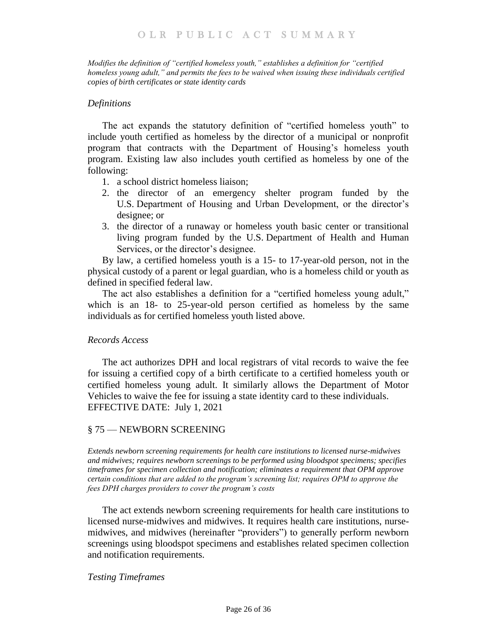<span id="page-25-0"></span>*Modifies the definition of "certified homeless youth," establishes a definition for "certified homeless young adult," and permits the fees to be waived when issuing these individuals certified copies of birth certificates or state identity cards*

## *Definitions*

The act expands the statutory definition of "certified homeless youth" to include youth certified as homeless by the director of a municipal or nonprofit program that contracts with the Department of Housing's homeless youth program. Existing law also includes youth certified as homeless by one of the following:

- 1. a school district homeless liaison;
- 2. the director of an emergency shelter program funded by the U.S. Department of Housing and Urban Development, or the director's designee; or
- 3. the director of a runaway or homeless youth basic center or transitional living program funded by the U.S. Department of Health and Human Services, or the director's designee.

By law, a certified homeless youth is a 15- to 17-year-old person, not in the physical custody of a parent or legal guardian, who is a homeless child or youth as defined in specified federal law.

The act also establishes a definition for a "certified homeless young adult," which is an 18- to 25-year-old person certified as homeless by the same individuals as for certified homeless youth listed above.

## *Records Access*

The act authorizes DPH and local registrars of vital records to waive the fee for issuing a certified copy of a birth certificate to a certified homeless youth or certified homeless young adult. It similarly allows the Department of Motor Vehicles to waive the fee for issuing a state identity card to these individuals. EFFECTIVE DATE: July 1, 2021

## <span id="page-25-1"></span>§ 75 — NEWBORN SCREENING

<span id="page-25-2"></span>*Extends newborn screening requirements for health care institutions to licensed nurse-midwives and midwives; requires newborn screenings to be performed using bloodspot specimens; specifies timeframes for specimen collection and notification; eliminates a requirement that OPM approve certain conditions that are added to the program's screening list; requires OPM to approve the fees DPH charges providers to cover the program's costs*

The act extends newborn screening requirements for health care institutions to licensed nurse-midwives and midwives. It requires health care institutions, nursemidwives, and midwives (hereinafter "providers") to generally perform newborn screenings using bloodspot specimens and establishes related specimen collection and notification requirements.

## *Testing Timeframes*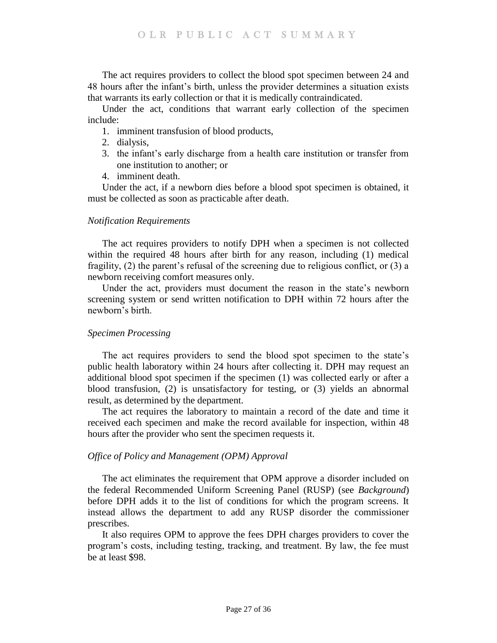The act requires providers to collect the blood spot specimen between 24 and 48 hours after the infant's birth, unless the provider determines a situation exists that warrants its early collection or that it is medically contraindicated.

Under the act, conditions that warrant early collection of the specimen include:

- 1. imminent transfusion of blood products,
- 2. dialysis,
- 3. the infant's early discharge from a health care institution or transfer from one institution to another; or
- 4. imminent death.

Under the act, if a newborn dies before a blood spot specimen is obtained, it must be collected as soon as practicable after death.

## *Notification Requirements*

The act requires providers to notify DPH when a specimen is not collected within the required 48 hours after birth for any reason, including (1) medical fragility, (2) the parent's refusal of the screening due to religious conflict, or (3) a newborn receiving comfort measures only.

Under the act, providers must document the reason in the state's newborn screening system or send written notification to DPH within 72 hours after the newborn's birth.

## *Specimen Processing*

The act requires providers to send the blood spot specimen to the state's public health laboratory within 24 hours after collecting it. DPH may request an additional blood spot specimen if the specimen (1) was collected early or after a blood transfusion, (2) is unsatisfactory for testing, or (3) yields an abnormal result, as determined by the department.

The act requires the laboratory to maintain a record of the date and time it received each specimen and make the record available for inspection, within 48 hours after the provider who sent the specimen requests it.

## *Office of Policy and Management (OPM) Approval*

The act eliminates the requirement that OPM approve a disorder included on the federal Recommended Uniform Screening Panel (RUSP) (see *Background*) before DPH adds it to the list of conditions for which the program screens. It instead allows the department to add any RUSP disorder the commissioner prescribes.

It also requires OPM to approve the fees DPH charges providers to cover the program's costs, including testing, tracking, and treatment. By law, the fee must be at least \$98.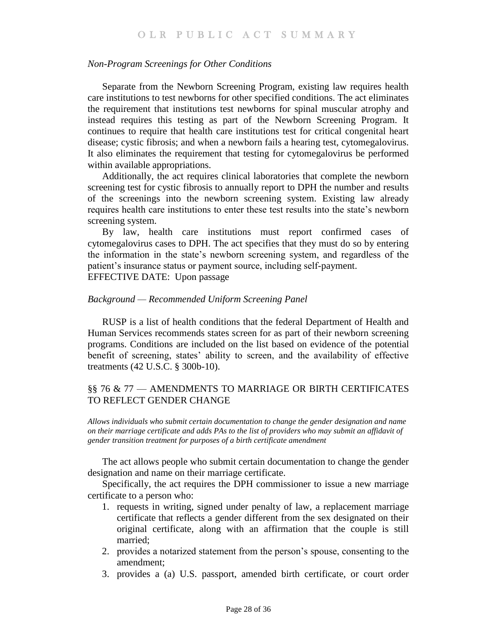## *Non-Program Screenings for Other Conditions*

Separate from the Newborn Screening Program, existing law requires health care institutions to test newborns for other specified conditions. The act eliminates the requirement that institutions test newborns for spinal muscular atrophy and instead requires this testing as part of the Newborn Screening Program. It continues to require that health care institutions test for critical congenital heart disease; cystic fibrosis; and when a newborn fails a hearing test, cytomegalovirus. It also eliminates the requirement that testing for cytomegalovirus be performed within available appropriations.

Additionally, the act requires clinical laboratories that complete the newborn screening test for cystic fibrosis to annually report to DPH the number and results of the screenings into the newborn screening system. Existing law already requires health care institutions to enter these test results into the state's newborn screening system.

By law, health care institutions must report confirmed cases of cytomegalovirus cases to DPH. The act specifies that they must do so by entering the information in the state's newborn screening system, and regardless of the patient's insurance status or payment source, including self-payment. EFFECTIVE DATE: Upon passage

#### *Background — Recommended Uniform Screening Panel*

RUSP is a list of health conditions that the federal Department of Health and Human Services recommends states screen for as part of their newborn screening programs. Conditions are included on the list based on evidence of the potential benefit of screening, states' ability to screen, and the availability of effective treatments (42 U.S.C. § 300b-10).

## <span id="page-27-0"></span>§§ 76 & 77 — AMENDMENTS TO MARRIAGE OR BIRTH CERTIFICATES TO REFLECT GENDER CHANGE

<span id="page-27-1"></span>*Allows individuals who submit certain documentation to change the gender designation and name on their marriage certificate and adds PAs to the list of providers who may submit an affidavit of gender transition treatment for purposes of a birth certificate amendment*

The act allows people who submit certain documentation to change the gender designation and name on their marriage certificate.

Specifically, the act requires the DPH commissioner to issue a new marriage certificate to a person who:

- 1. requests in writing, signed under penalty of law, a replacement marriage certificate that reflects a gender different from the sex designated on their original certificate, along with an affirmation that the couple is still married;
- 2. provides a notarized statement from the person's spouse, consenting to the amendment;
- 3. provides a (a) U.S. passport, amended birth certificate, or court order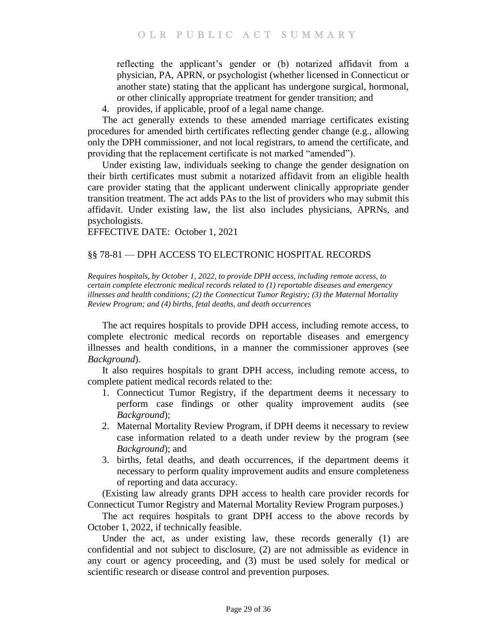reflecting the applicant's gender or (b) notarized affidavit from a physician, PA, APRN, or psychologist (whether licensed in Connecticut or another state) stating that the applicant has undergone surgical, hormonal, or other clinically appropriate treatment for gender transition; and

4. provides, if applicable, proof of a legal name change.

The act generally extends to these amended marriage certificates existing procedures for amended birth certificates reflecting gender change (e.g., allowing only the DPH commissioner, and not local registrars, to amend the certificate, and providing that the replacement certificate is not marked "amended").

Under existing law, individuals seeking to change the gender designation on their birth certificates must submit a notarized affidavit from an eligible health care provider stating that the applicant underwent clinically appropriate gender transition treatment. The act adds PAs to the list of providers who may submit this affidavit. Under existing law, the list also includes physicians, APRNs, and psychologists.

EFFECTIVE DATE: October 1, 2021

# <span id="page-28-0"></span>§§ 78-81 — DPH ACCESS TO ELECTRONIC HOSPITAL RECORDS

<span id="page-28-1"></span>*Requires hospitals, by October 1, 2022, to provide DPH access, including remote access, to certain complete electronic medical records related to (1) reportable diseases and emergency illnesses and health conditions; (2) the Connecticut Tumor Registry; (3) the Maternal Mortality Review Program; and (4) births, fetal deaths, and death occurrences*

The act requires hospitals to provide DPH access, including remote access, to complete electronic medical records on reportable diseases and emergency illnesses and health conditions, in a manner the commissioner approves (see *Background*).

It also requires hospitals to grant DPH access, including remote access, to complete patient medical records related to the:

- 1. Connecticut Tumor Registry, if the department deems it necessary to perform case findings or other quality improvement audits (see *Background*);
- 2. Maternal Mortality Review Program, if DPH deems it necessary to review case information related to a death under review by the program (see *Background*); and
- 3. births, fetal deaths, and death occurrences, if the department deems it necessary to perform quality improvement audits and ensure completeness of reporting and data accuracy.

(Existing law already grants DPH access to health care provider records for Connecticut Tumor Registry and Maternal Mortality Review Program purposes.)

The act requires hospitals to grant DPH access to the above records by October 1, 2022, if technically feasible.

Under the act, as under existing law, these records generally (1) are confidential and not subject to disclosure, (2) are not admissible as evidence in any court or agency proceeding, and (3) must be used solely for medical or scientific research or disease control and prevention purposes.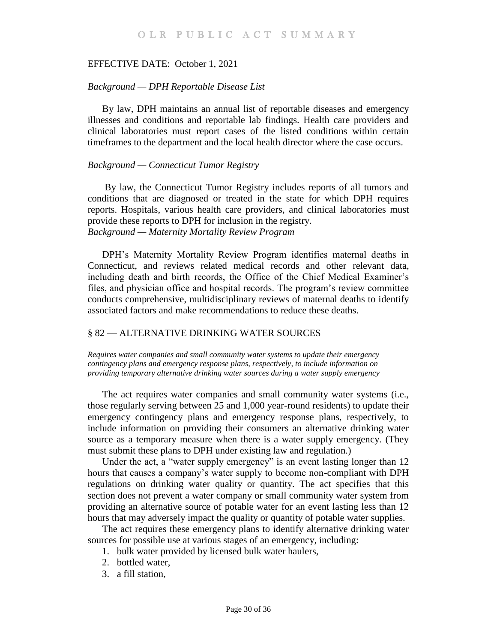#### EFFECTIVE DATE: October 1, 2021

#### *Background — DPH Reportable Disease List*

By law, DPH maintains an annual list of reportable diseases and emergency illnesses and conditions and reportable lab findings. Health care providers and clinical laboratories must report cases of the listed conditions within certain timeframes to the department and the local health director where the case occurs.

#### *Background — Connecticut Tumor Registry*

By law, the Connecticut Tumor Registry includes reports of all tumors and conditions that are diagnosed or treated in the state for which DPH requires reports. Hospitals, various health care providers, and clinical laboratories must provide these reports to DPH for inclusion in the registry. *Background — Maternity Mortality Review Program* 

DPH's Maternity Mortality Review Program identifies maternal deaths in Connecticut, and reviews related medical records and other relevant data, including death and birth records, the Office of the Chief Medical Examiner's files, and physician office and hospital records. The program's review committee conducts comprehensive, multidisciplinary reviews of maternal deaths to identify associated factors and make recommendations to reduce these deaths.

## <span id="page-29-0"></span>§ 82 — ALTERNATIVE DRINKING WATER SOURCES

<span id="page-29-1"></span>*Requires water companies and small community water systems to update their emergency contingency plans and emergency response plans, respectively, to include information on providing temporary alternative drinking water sources during a water supply emergency*

The act requires water companies and small community water systems (i.e., those regularly serving between 25 and 1,000 year-round residents) to update their emergency contingency plans and emergency response plans, respectively, to include information on providing their consumers an alternative drinking water source as a temporary measure when there is a water supply emergency. (They must submit these plans to DPH under existing law and regulation.)

Under the act, a "water supply emergency" is an event lasting longer than 12 hours that causes a company's water supply to become non-compliant with DPH regulations on drinking water quality or quantity. The act specifies that this section does not prevent a water company or small community water system from providing an alternative source of potable water for an event lasting less than 12 hours that may adversely impact the quality or quantity of potable water supplies.

The act requires these emergency plans to identify alternative drinking water sources for possible use at various stages of an emergency, including:

- 1. bulk water provided by licensed bulk water haulers,
- 2. bottled water,
- 3. a fill station,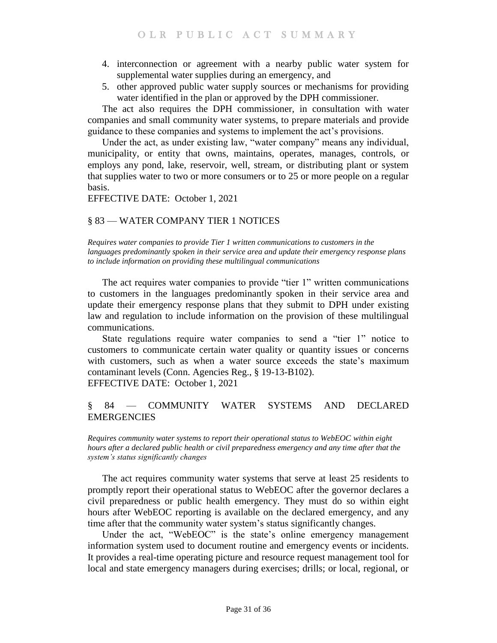- 4. interconnection or agreement with a nearby public water system for supplemental water supplies during an emergency, and
- 5. other approved public water supply sources or mechanisms for providing water identified in the plan or approved by the DPH commissioner.

The act also requires the DPH commissioner, in consultation with water companies and small community water systems, to prepare materials and provide guidance to these companies and systems to implement the act's provisions.

Under the act, as under existing law, "water company" means any individual, municipality, or entity that owns, maintains, operates, manages, controls, or employs any pond, lake, reservoir, well, stream, or distributing plant or system that supplies water to two or more consumers or to 25 or more people on a regular basis.

EFFECTIVE DATE: October 1, 2021

# <span id="page-30-0"></span>§ 83 — WATER COMPANY TIER 1 NOTICES

<span id="page-30-1"></span>*Requires water companies to provide Tier 1 written communications to customers in the languages predominantly spoken in their service area and update their emergency response plans to include information on providing these multilingual communications*

The act requires water companies to provide "tier 1" written communications to customers in the languages predominantly spoken in their service area and update their emergency response plans that they submit to DPH under existing law and regulation to include information on the provision of these multilingual communications.

State regulations require water companies to send a "tier 1" notice to customers to communicate certain water quality or quantity issues or concerns with customers, such as when a water source exceeds the state's maximum contaminant levels (Conn. Agencies Reg., § 19-13-B102). EFFECTIVE DATE: October 1, 2021

<span id="page-30-2"></span>§ 84 — COMMUNITY WATER SYSTEMS AND DECLARED EMERGENCIES

<span id="page-30-3"></span>*Requires community water systems to report their operational status to WebEOC within eight hours after a declared public health or civil preparedness emergency and any time after that the system's status significantly changes*

The act requires community water systems that serve at least 25 residents to promptly report their operational status to WebEOC after the governor declares a civil preparedness or public health emergency. They must do so within eight hours after WebEOC reporting is available on the declared emergency, and any time after that the community water system's status significantly changes.

Under the act, "WebEOC" is the state's online emergency management information system used to document routine and emergency events or incidents. It provides a real-time operating picture and resource request management tool for local and state emergency managers during exercises; drills; or local, regional, or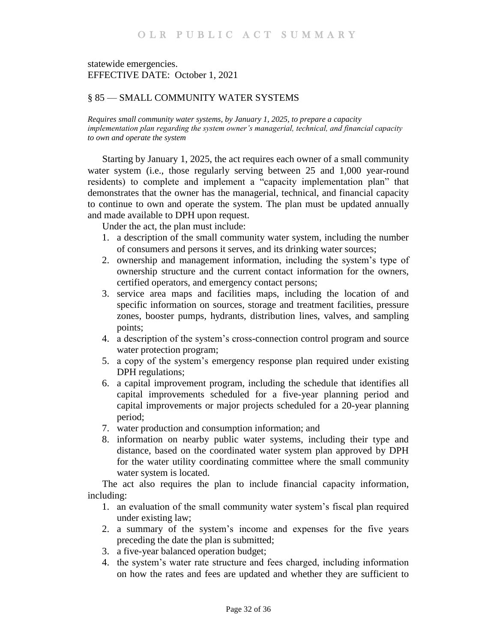# statewide emergencies. EFFECTIVE DATE: October 1, 2021

# <span id="page-31-0"></span>§ 85 — SMALL COMMUNITY WATER SYSTEMS

<span id="page-31-1"></span>*Requires small community water systems, by January 1, 2025, to prepare a capacity implementation plan regarding the system owner's managerial, technical, and financial capacity to own and operate the system*

Starting by January 1, 2025, the act requires each owner of a small community water system (i.e., those regularly serving between 25 and 1,000 year-round residents) to complete and implement a "capacity implementation plan" that demonstrates that the owner has the managerial, technical, and financial capacity to continue to own and operate the system. The plan must be updated annually and made available to DPH upon request.

Under the act, the plan must include:

- 1. a description of the small community water system, including the number of consumers and persons it serves, and its drinking water sources;
- 2. ownership and management information, including the system's type of ownership structure and the current contact information for the owners, certified operators, and emergency contact persons;
- 3. service area maps and facilities maps, including the location of and specific information on sources, storage and treatment facilities, pressure zones, booster pumps, hydrants, distribution lines, valves, and sampling points;
- 4. a description of the system's cross-connection control program and source water protection program;
- 5. a copy of the system's emergency response plan required under existing DPH regulations;
- 6. a capital improvement program, including the schedule that identifies all capital improvements scheduled for a five-year planning period and capital improvements or major projects scheduled for a 20-year planning period;
- 7. water production and consumption information; and
- 8. information on nearby public water systems, including their type and distance, based on the coordinated water system plan approved by DPH for the water utility coordinating committee where the small community water system is located.

The act also requires the plan to include financial capacity information, including:

- 1. an evaluation of the small community water system's fiscal plan required under existing law;
- 2. a summary of the system's income and expenses for the five years preceding the date the plan is submitted;
- 3. a five-year balanced operation budget;
- 4. the system's water rate structure and fees charged, including information on how the rates and fees are updated and whether they are sufficient to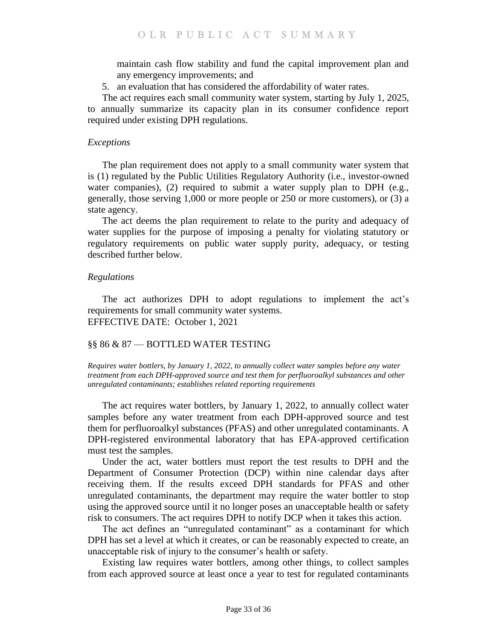maintain cash flow stability and fund the capital improvement plan and any emergency improvements; and

5. an evaluation that has considered the affordability of water rates.

The act requires each small community water system, starting by July 1, 2025, to annually summarize its capacity plan in its consumer confidence report required under existing DPH regulations.

## *Exceptions*

The plan requirement does not apply to a small community water system that is (1) regulated by the Public Utilities Regulatory Authority (i.e., investor-owned water companies), (2) required to submit a water supply plan to DPH (e.g., generally, those serving 1,000 or more people or 250 or more customers), or (3) a state agency.

The act deems the plan requirement to relate to the purity and adequacy of water supplies for the purpose of imposing a penalty for violating statutory or regulatory requirements on public water supply purity, adequacy, or testing described further below.

## *Regulations*

The act authorizes DPH to adopt regulations to implement the act's requirements for small community water systems. EFFECTIVE DATE: October 1, 2021

# <span id="page-32-0"></span>§§ 86 & 87 — BOTTLED WATER TESTING

<span id="page-32-1"></span>*Requires water bottlers, by January 1, 2022, to annually collect water samples before any water treatment from each DPH-approved source and test them for perfluoroalkyl substances and other unregulated contaminants; establishes related reporting requirements*

The act requires water bottlers, by January 1, 2022, to annually collect water samples before any water treatment from each DPH-approved source and test them for perfluoroalkyl substances (PFAS) and other unregulated contaminants. A DPH-registered environmental laboratory that has EPA-approved certification must test the samples.

Under the act, water bottlers must report the test results to DPH and the Department of Consumer Protection (DCP) within nine calendar days after receiving them. If the results exceed DPH standards for PFAS and other unregulated contaminants, the department may require the water bottler to stop using the approved source until it no longer poses an unacceptable health or safety risk to consumers. The act requires DPH to notify DCP when it takes this action.

The act defines an "unregulated contaminant" as a contaminant for which DPH has set a level at which it creates, or can be reasonably expected to create, an unacceptable risk of injury to the consumer's health or safety.

Existing law requires water bottlers, among other things, to collect samples from each approved source at least once a year to test for regulated contaminants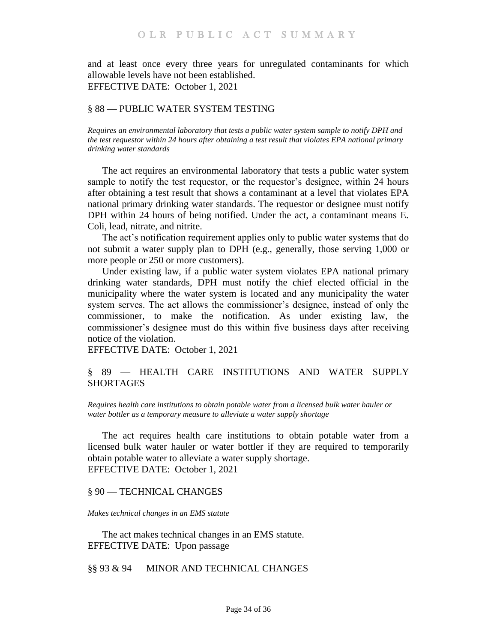and at least once every three years for unregulated contaminants for which allowable levels have not been established. EFFECTIVE DATE: October 1, 2021

## <span id="page-33-0"></span>§ 88 — PUBLIC WATER SYSTEM TESTING

<span id="page-33-1"></span>*Requires an environmental laboratory that tests a public water system sample to notify DPH and the test requestor within 24 hours after obtaining a test result that violates EPA national primary drinking water standards*

The act requires an environmental laboratory that tests a public water system sample to notify the test requestor, or the requestor's designee, within 24 hours after obtaining a test result that shows a contaminant at a level that violates EPA national primary drinking water standards. The requestor or designee must notify DPH within 24 hours of being notified. Under the act, a contaminant means E. Coli, lead, nitrate, and nitrite.

The act's notification requirement applies only to public water systems that do not submit a water supply plan to DPH (e.g., generally, those serving 1,000 or more people or 250 or more customers).

Under existing law, if a public water system violates EPA national primary drinking water standards, DPH must notify the chief elected official in the municipality where the water system is located and any municipality the water system serves. The act allows the commissioner's designee, instead of only the commissioner, to make the notification. As under existing law, the commissioner's designee must do this within five business days after receiving notice of the violation.

EFFECTIVE DATE: October 1, 2021

# <span id="page-33-2"></span>§ 89 — HEALTH CARE INSTITUTIONS AND WATER SUPPLY SHORTAGES

<span id="page-33-3"></span>*Requires health care institutions to obtain potable water from a licensed bulk water hauler or water bottler as a temporary measure to alleviate a water supply shortage*

The act requires health care institutions to obtain potable water from a licensed bulk water hauler or water bottler if they are required to temporarily obtain potable water to alleviate a water supply shortage. EFFECTIVE DATE: October 1, 2021

## <span id="page-33-4"></span>§ 90 — TECHNICAL CHANGES

#### <span id="page-33-5"></span>*Makes technical changes in an EMS statute*

The act makes technical changes in an EMS statute. EFFECTIVE DATE: Upon passage

<span id="page-33-6"></span>§§ 93 & 94 — MINOR AND TECHNICAL CHANGES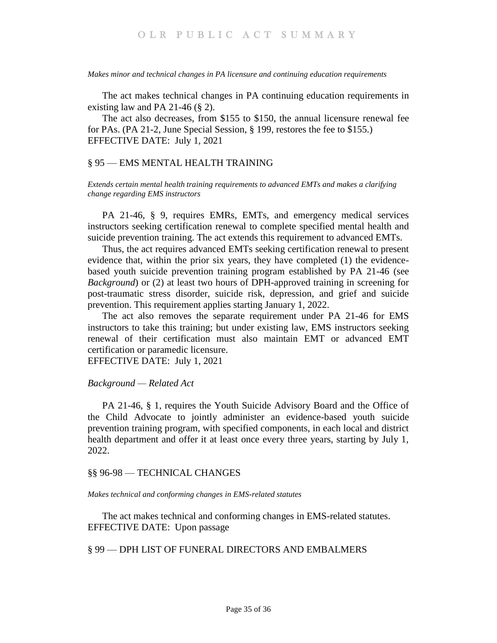<span id="page-34-0"></span>*Makes minor and technical changes in PA licensure and continuing education requirements*

The act makes technical changes in PA continuing education requirements in existing law and PA 21-46  $(\S$  2).

The act also decreases, from \$155 to \$150, the annual licensure renewal fee for PAs. (PA 21-2, June Special Session, § 199, restores the fee to \$155.) EFFECTIVE DATE: July 1, 2021

## <span id="page-34-1"></span>§ 95 — EMS MENTAL HEALTH TRAINING

<span id="page-34-2"></span>*Extends certain mental health training requirements to advanced EMTs and makes a clarifying change regarding EMS instructors*

PA 21-46, § 9, requires EMRs, EMTs, and emergency medical services instructors seeking certification renewal to complete specified mental health and suicide prevention training. The act extends this requirement to advanced EMTs.

Thus, the act requires advanced EMTs seeking certification renewal to present evidence that, within the prior six years, they have completed (1) the evidencebased youth suicide prevention training program established by PA 21-46 (see *Background*) or (2) at least two hours of DPH-approved training in screening for post-traumatic stress disorder, suicide risk, depression, and grief and suicide prevention. This requirement applies starting January 1, 2022.

The act also removes the separate requirement under PA 21-46 for EMS instructors to take this training; but under existing law, EMS instructors seeking renewal of their certification must also maintain EMT or advanced EMT certification or paramedic licensure.

EFFECTIVE DATE: July 1, 2021

## *Background — Related Act*

PA 21-46, § 1, requires the Youth Suicide Advisory Board and the Office of the Child Advocate to jointly administer an evidence-based youth suicide prevention training program, with specified components, in each local and district health department and offer it at least once every three years, starting by July 1, 2022.

## <span id="page-34-3"></span>§§ 96-98 — TECHNICAL CHANGES

<span id="page-34-4"></span>*Makes technical and conforming changes in EMS-related statutes*

The act makes technical and conforming changes in EMS-related statutes. EFFECTIVE DATE: Upon passage

## <span id="page-34-5"></span>§ 99 — DPH LIST OF FUNERAL DIRECTORS AND EMBALMERS